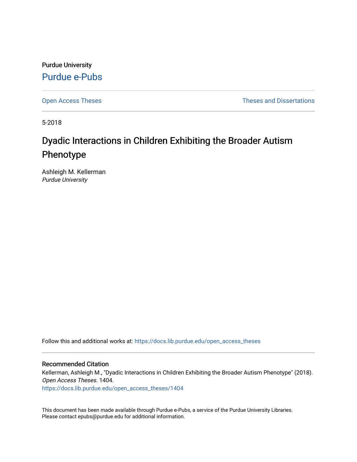Purdue University [Purdue e-Pubs](https://docs.lib.purdue.edu/)

[Open Access Theses](https://docs.lib.purdue.edu/open_access_theses) **Theses Theses Theses** and Dissertations

5-2018

# Dyadic Interactions in Children Exhibiting the Broader Autism Phenotype

Ashleigh M. Kellerman Purdue University

Follow this and additional works at: [https://docs.lib.purdue.edu/open\\_access\\_theses](https://docs.lib.purdue.edu/open_access_theses?utm_source=docs.lib.purdue.edu%2Fopen_access_theses%2F1404&utm_medium=PDF&utm_campaign=PDFCoverPages) 

#### Recommended Citation

Kellerman, Ashleigh M., "Dyadic Interactions in Children Exhibiting the Broader Autism Phenotype" (2018). Open Access Theses. 1404.

[https://docs.lib.purdue.edu/open\\_access\\_theses/1404](https://docs.lib.purdue.edu/open_access_theses/1404?utm_source=docs.lib.purdue.edu%2Fopen_access_theses%2F1404&utm_medium=PDF&utm_campaign=PDFCoverPages) 

This document has been made available through Purdue e-Pubs, a service of the Purdue University Libraries. Please contact epubs@purdue.edu for additional information.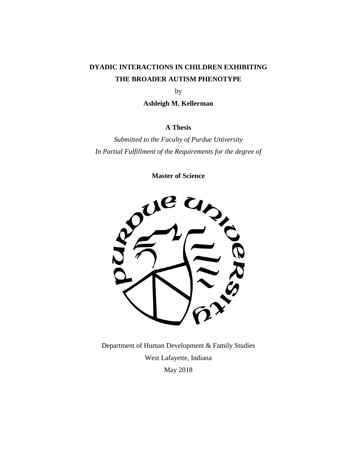## **DYADIC INTERACTIONS IN CHILDREN EXHIBITING THE BROADER AUTISM PHENOTYPE**

by

**Ashleigh M. Kellerman**

## **A Thesis**

*Submitted to the Faculty of Purdue University In Partial Fulfillment of the Requirements for the degree of*

**Master of Science**



Department of Human Development & Family Studies West Lafayette, Indiana May 2018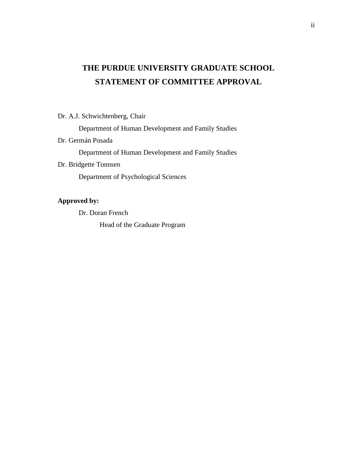## **THE PURDUE UNIVERSITY GRADUATE SCHOOL STATEMENT OF COMMITTEE APPROVAL**

## Dr. A.J. Schwichtenberg, Chair

Department of Human Development and Family Studies

## Dr. Germán Posada

Department of Human Development and Family Studies

## Dr. Bridgette Tonnsen

Department of Psychological Sciences

## **Approved by:**

Dr. Doran French

Head of the Graduate Program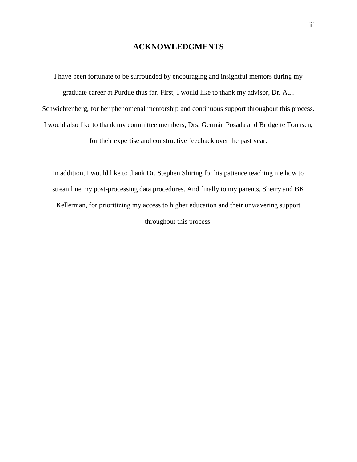## **ACKNOWLEDGMENTS**

I have been fortunate to be surrounded by encouraging and insightful mentors during my graduate career at Purdue thus far. First, I would like to thank my advisor, Dr. A.J. Schwichtenberg, for her phenomenal mentorship and continuous support throughout this process. I would also like to thank my committee members, Drs. Germán Posada and Bridgette Tonnsen, for their expertise and constructive feedback over the past year.

In addition, I would like to thank Dr. Stephen Shiring for his patience teaching me how to streamline my post-processing data procedures. And finally to my parents, Sherry and BK Kellerman, for prioritizing my access to higher education and their unwavering support throughout this process.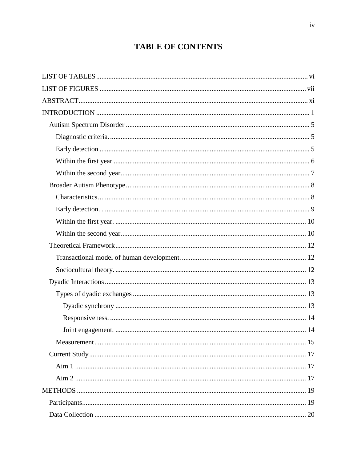## **TABLE OF CONTENTS**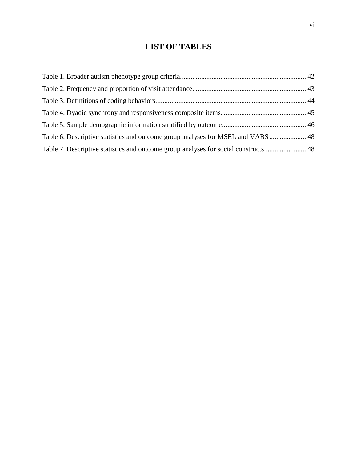## **LIST OF TABLES**

<span id="page-6-0"></span>

| Table 6. Descriptive statistics and outcome group analyses for MSEL and VABS 48     |  |
|-------------------------------------------------------------------------------------|--|
| Table 7. Descriptive statistics and outcome group analyses for social constructs 48 |  |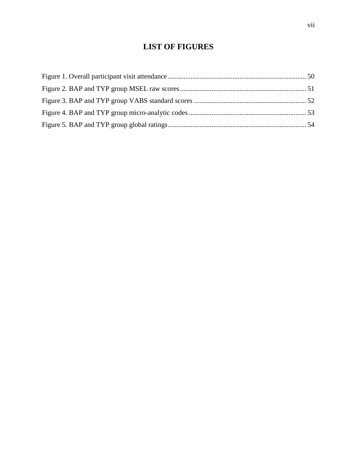## **LIST OF FIGURES**

<span id="page-7-0"></span>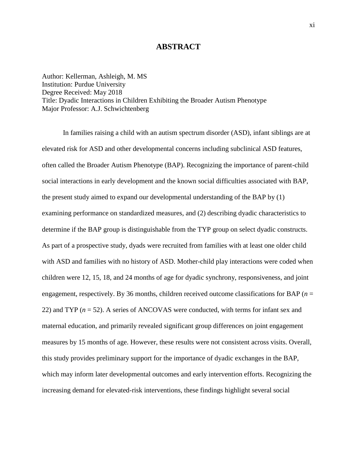### **ABSTRACT**

<span id="page-8-0"></span>Author: Kellerman, Ashleigh, M. MS Institution: Purdue University Degree Received: May 2018 Title: Dyadic Interactions in Children Exhibiting the Broader Autism Phenotype Major Professor: A.J. Schwichtenberg

In families raising a child with an autism spectrum disorder (ASD), infant siblings are at elevated risk for ASD and other developmental concerns including subclinical ASD features, often called the Broader Autism Phenotype (BAP). Recognizing the importance of parent-child social interactions in early development and the known social difficulties associated with BAP, the present study aimed to expand our developmental understanding of the BAP by (1) examining performance on standardized measures, and (2) describing dyadic characteristics to determine if the BAP group is distinguishable from the TYP group on select dyadic constructs. As part of a prospective study, dyads were recruited from families with at least one older child with ASD and families with no history of ASD. Mother-child play interactions were coded when children were 12, 15, 18, and 24 months of age for dyadic synchrony, responsiveness, and joint engagement, respectively. By 36 months, children received outcome classifications for BAP (*n* = 22) and TYP (*n* = 52). A series of ANCOVAS were conducted, with terms for infant sex and maternal education, and primarily revealed significant group differences on joint engagement measures by 15 months of age. However, these results were not consistent across visits. Overall, this study provides preliminary support for the importance of dyadic exchanges in the BAP, which may inform later developmental outcomes and early intervention efforts. Recognizing the increasing demand for elevated-risk interventions, these findings highlight several social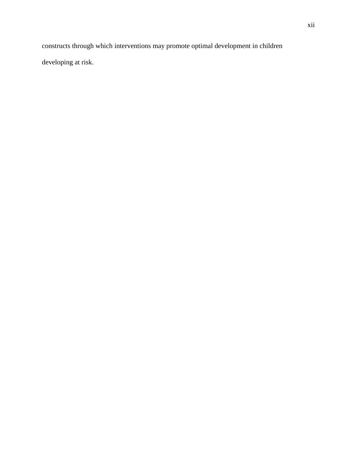constructs through which interventions may promote optimal development in children developing at risk.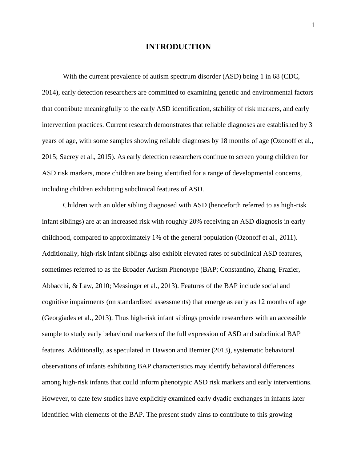## **INTRODUCTION**

<span id="page-10-0"></span>With the current prevalence of autism spectrum disorder (ASD) being 1 in 68 (CDC, 2014), early detection researchers are committed to examining genetic and environmental factors that contribute meaningfully to the early ASD identification, stability of risk markers, and early intervention practices. Current research demonstrates that reliable diagnoses are established by 3 years of age, with some samples showing reliable diagnoses by 18 months of age (Ozonoff et al., 2015; Sacrey et al., 2015). As early detection researchers continue to screen young children for ASD risk markers, more children are being identified for a range of developmental concerns, including children exhibiting subclinical features of ASD.

Children with an older sibling diagnosed with ASD (henceforth referred to as high-risk infant siblings) are at an increased risk with roughly 20% receiving an ASD diagnosis in early childhood, compared to approximately 1% of the general population (Ozonoff et al., 2011). Additionally, high-risk infant siblings also exhibit elevated rates of subclinical ASD features, sometimes referred to as the Broader Autism Phenotype (BAP; Constantino, Zhang, Frazier, Abbacchi, & Law, 2010; Messinger et al., 2013). Features of the BAP include social and cognitive impairments (on standardized assessments) that emerge as early as 12 months of age (Georgiades et al., 2013). Thus high-risk infant siblings provide researchers with an accessible sample to study early behavioral markers of the full expression of ASD and subclinical BAP features. Additionally, as speculated in Dawson and Bernier (2013), systematic behavioral observations of infants exhibiting BAP characteristics may identify behavioral differences among high-risk infants that could inform phenotypic ASD risk markers and early interventions. However, to date few studies have explicitly examined early dyadic exchanges in infants later identified with elements of the BAP. The present study aims to contribute to this growing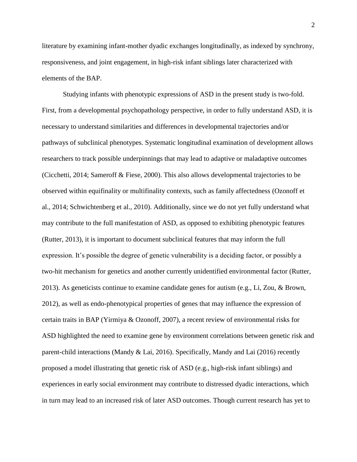literature by examining infant-mother dyadic exchanges longitudinally, as indexed by synchrony, responsiveness, and joint engagement, in high-risk infant siblings later characterized with elements of the BAP.

Studying infants with phenotypic expressions of ASD in the present study is two-fold. First, from a developmental psychopathology perspective, in order to fully understand ASD, it is necessary to understand similarities and differences in developmental trajectories and/or pathways of subclinical phenotypes. Systematic longitudinal examination of development allows researchers to track possible underpinnings that may lead to adaptive or maladaptive outcomes (Cicchetti, 2014; Sameroff & Fiese, 2000). This also allows developmental trajectories to be observed within equifinality or multifinality contexts, such as family affectedness (Ozonoff et al., 2014; Schwichtenberg et al., 2010). Additionally, since we do not yet fully understand what may contribute to the full manifestation of ASD, as opposed to exhibiting phenotypic features (Rutter, 2013), it is important to document subclinical features that may inform the full expression. It's possible the degree of genetic vulnerability is a deciding factor, or possibly a two-hit mechanism for genetics and another currently unidentified environmental factor (Rutter, 2013). As geneticists continue to examine candidate genes for autism (e.g., Li, Zou, & Brown, 2012), as well as endo-phenotypical properties of genes that may influence the expression of certain traits in BAP (Yirmiya & Ozonoff, 2007), a recent review of environmental risks for ASD highlighted the need to examine gene by environment correlations between genetic risk and parent-child interactions (Mandy & Lai, 2016). Specifically, Mandy and Lai (2016) recently proposed a model illustrating that genetic risk of ASD (e.g., high-risk infant siblings) and experiences in early social environment may contribute to distressed dyadic interactions, which in turn may lead to an increased risk of later ASD outcomes. Though current research has yet to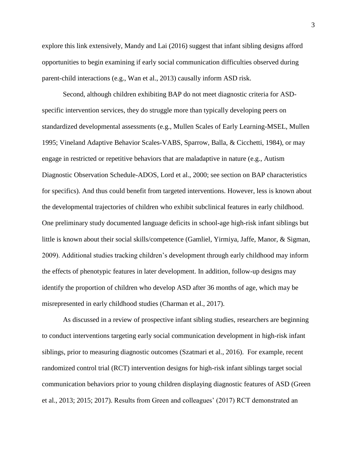explore this link extensively, Mandy and Lai (2016) suggest that infant sibling designs afford opportunities to begin examining if early social communication difficulties observed during parent-child interactions (e.g., Wan et al., 2013) causally inform ASD risk.

Second, although children exhibiting BAP do not meet diagnostic criteria for ASDspecific intervention services, they do struggle more than typically developing peers on standardized developmental assessments (e.g., Mullen Scales of Early Learning-MSEL, Mullen 1995; Vineland Adaptive Behavior Scales-VABS, Sparrow, Balla, & Cicchetti, 1984), or may engage in restricted or repetitive behaviors that are maladaptive in nature (e.g., Autism Diagnostic Observation Schedule-ADOS, Lord et al., 2000; see section on BAP characteristics for specifics). And thus could benefit from targeted interventions. However, less is known about the developmental trajectories of children who exhibit subclinical features in early childhood. One preliminary study documented language deficits in school-age high-risk infant siblings but little is known about their social skills/competence (Gamliel, Yirmiya, Jaffe, Manor, & Sigman, 2009). Additional studies tracking children's development through early childhood may inform the effects of phenotypic features in later development. In addition, follow-up designs may identify the proportion of children who develop ASD after 36 months of age, which may be misrepresented in early childhood studies (Charman et al., 2017).

As discussed in a review of prospective infant sibling studies, researchers are beginning to conduct interventions targeting early social communication development in high-risk infant siblings, prior to measuring diagnostic outcomes (Szatmari et al., 2016). For example, recent randomized control trial (RCT) intervention designs for high-risk infant siblings target social communication behaviors prior to young children displaying diagnostic features of ASD (Green et al., 2013; 2015; 2017). Results from Green and colleagues' (2017) RCT demonstrated an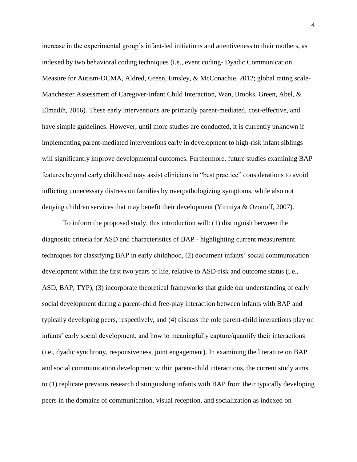increase in the experimental group's infant-led initiations and attentiveness to their mothers, as indexed by two behavioral coding techniques (i.e., event coding- Dyadic Communication Measure for Autism-DCMA, Aldred, Green, Emsley, & McConachie, 2012; global rating scale-Manchester Assessment of Caregiver-Infant Child Interaction, Wan, Brooks, Green, Abel, & Elmadih, 2016). These early interventions are primarily parent-mediated, cost-effective, and have simple guidelines. However, until more studies are conducted, it is currently unknown if implementing parent-mediated interventions early in development to high-risk infant siblings will significantly improve developmental outcomes. Furthermore, future studies examining BAP features beyond early childhood may assist clinicians in "best practice" considerations to avoid inflicting unnecessary distress on families by overpathologizing symptoms, while also not denying children services that may benefit their development (Yirmiya & Ozonoff, 2007).

To inform the proposed study, this introduction will: (1) distinguish between the diagnostic criteria for ASD and characteristics of BAP - highlighting current measurement techniques for classifying BAP in early childhood, (2) document infants' social communication development within the first two years of life, relative to ASD-risk and outcome status (i.e., ASD, BAP, TYP), (3) incorporate theoretical frameworks that guide our understanding of early social development during a parent-child free-play interaction between infants with BAP and typically developing peers, respectively, and (4) discuss the role parent-child interactions play on infants' early social development, and how to meaningfully capture/quantify their interactions (i.e., dyadic synchrony, responsiveness, joint engagement). In examining the literature on BAP and social communication development within parent-child interactions, the current study aims to (1) replicate previous research distinguishing infants with BAP from their typically developing peers in the domains of communication, visual reception, and socialization as indexed on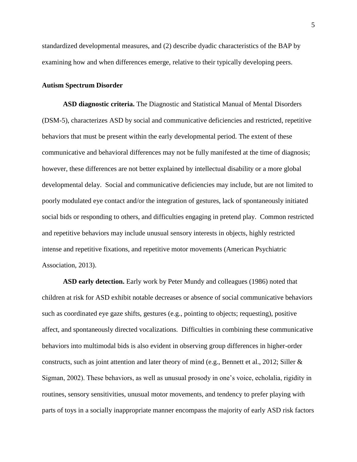standardized developmental measures, and (2) describe dyadic characteristics of the BAP by examining how and when differences emerge, relative to their typically developing peers.

#### <span id="page-14-0"></span>**Autism Spectrum Disorder**

<span id="page-14-1"></span>**ASD diagnostic criteria.** The Diagnostic and Statistical Manual of Mental Disorders (DSM-5), characterizes ASD by social and communicative deficiencies and restricted, repetitive behaviors that must be present within the early developmental period. The extent of these communicative and behavioral differences may not be fully manifested at the time of diagnosis; however, these differences are not better explained by intellectual disability or a more global developmental delay. Social and communicative deficiencies may include, but are not limited to poorly modulated eye contact and/or the integration of gestures, lack of spontaneously initiated social bids or responding to others, and difficulties engaging in pretend play. Common restricted and repetitive behaviors may include unusual sensory interests in objects, highly restricted intense and repetitive fixations, and repetitive motor movements (American Psychiatric Association, 2013).

<span id="page-14-2"></span>**ASD early detection.** Early work by Peter Mundy and colleagues (1986) noted that children at risk for ASD exhibit notable decreases or absence of social communicative behaviors such as coordinated eye gaze shifts, gestures (e.g., pointing to objects; requesting), positive affect, and spontaneously directed vocalizations. Difficulties in combining these communicative behaviors into multimodal bids is also evident in observing group differences in higher-order constructs, such as joint attention and later theory of mind (e.g., Bennett et al., 2012; Siller  $\&$ Sigman, 2002). These behaviors, as well as unusual prosody in one's voice, echolalia, rigidity in routines, sensory sensitivities, unusual motor movements, and tendency to prefer playing with parts of toys in a socially inappropriate manner encompass the majority of early ASD risk factors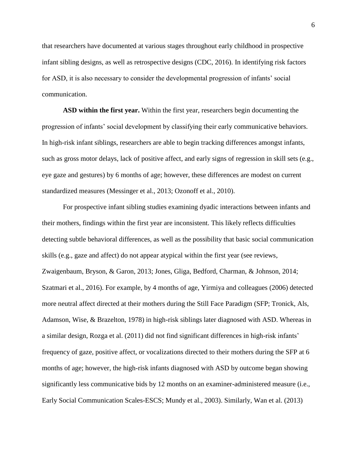that researchers have documented at various stages throughout early childhood in prospective infant sibling designs, as well as retrospective designs (CDC, 2016). In identifying risk factors for ASD, it is also necessary to consider the developmental progression of infants' social communication.

<span id="page-15-0"></span>**ASD within the first year.** Within the first year, researchers begin documenting the progression of infants' social development by classifying their early communicative behaviors. In high-risk infant siblings, researchers are able to begin tracking differences amongst infants, such as gross motor delays, lack of positive affect, and early signs of regression in skill sets (e.g., eye gaze and gestures) by 6 months of age; however, these differences are modest on current standardized measures (Messinger et al., 2013; Ozonoff et al., 2010).

For prospective infant sibling studies examining dyadic interactions between infants and their mothers, findings within the first year are inconsistent. This likely reflects difficulties detecting subtle behavioral differences, as well as the possibility that basic social communication skills (e.g., gaze and affect) do not appear atypical within the first year (see reviews, Zwaigenbaum, Bryson, & Garon, 2013; Jones, Gliga, Bedford, Charman, & Johnson, 2014; Szatmari et al., 2016). For example, by 4 months of age, Yirmiya and colleagues (2006) detected more neutral affect directed at their mothers during the Still Face Paradigm (SFP; Tronick, Als, Adamson, Wise, & Brazelton, 1978) in high-risk siblings later diagnosed with ASD. Whereas in a similar design, Rozga et al. (2011) did not find significant differences in high-risk infants' frequency of gaze, positive affect, or vocalizations directed to their mothers during the SFP at 6 months of age; however, the high-risk infants diagnosed with ASD by outcome began showing significantly less communicative bids by 12 months on an examiner-administered measure (i.e., Early Social Communication Scales-ESCS; Mundy et al., 2003). Similarly, Wan et al. (2013)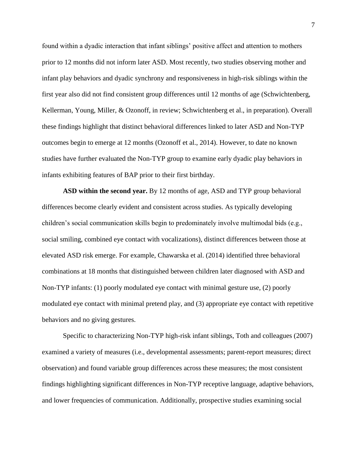found within a dyadic interaction that infant siblings' positive affect and attention to mothers prior to 12 months did not inform later ASD. Most recently, two studies observing mother and infant play behaviors and dyadic synchrony and responsiveness in high-risk siblings within the first year also did not find consistent group differences until 12 months of age (Schwichtenberg, Kellerman, Young, Miller, & Ozonoff, in review; Schwichtenberg et al., in preparation). Overall these findings highlight that distinct behavioral differences linked to later ASD and Non-TYP outcomes begin to emerge at 12 months (Ozonoff et al., 2014). However, to date no known studies have further evaluated the Non-TYP group to examine early dyadic play behaviors in infants exhibiting features of BAP prior to their first birthday.

<span id="page-16-0"></span>**ASD within the second year.** By 12 months of age, ASD and TYP group behavioral differences become clearly evident and consistent across studies. As typically developing children's social communication skills begin to predominately involve multimodal bids (e.g., social smiling, combined eye contact with vocalizations), distinct differences between those at elevated ASD risk emerge. For example, Chawarska et al. (2014) identified three behavioral combinations at 18 months that distinguished between children later diagnosed with ASD and Non-TYP infants: (1) poorly modulated eye contact with minimal gesture use, (2) poorly modulated eye contact with minimal pretend play, and (3) appropriate eye contact with repetitive behaviors and no giving gestures.

Specific to characterizing Non-TYP high-risk infant siblings, Toth and colleagues (2007) examined a variety of measures (i.e., developmental assessments; parent-report measures; direct observation) and found variable group differences across these measures; the most consistent findings highlighting significant differences in Non-TYP receptive language, adaptive behaviors, and lower frequencies of communication. Additionally, prospective studies examining social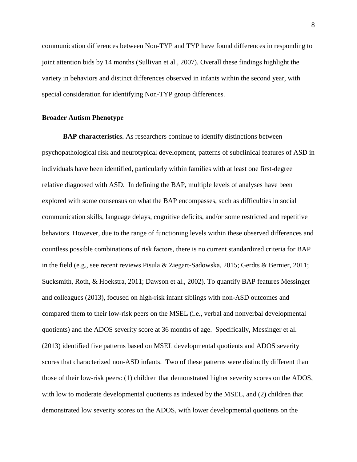communication differences between Non-TYP and TYP have found differences in responding to joint attention bids by 14 months (Sullivan et al., 2007). Overall these findings highlight the variety in behaviors and distinct differences observed in infants within the second year, with special consideration for identifying Non-TYP group differences.

#### <span id="page-17-0"></span>**Broader Autism Phenotype**

<span id="page-17-1"></span>**BAP characteristics.** As researchers continue to identify distinctions between psychopathological risk and neurotypical development, patterns of subclinical features of ASD in individuals have been identified, particularly within families with at least one first-degree relative diagnosed with ASD. In defining the BAP, multiple levels of analyses have been explored with some consensus on what the BAP encompasses, such as difficulties in social communication skills, language delays, cognitive deficits, and/or some restricted and repetitive behaviors. However, due to the range of functioning levels within these observed differences and countless possible combinations of risk factors, there is no current standardized criteria for BAP in the field (e.g., see recent reviews Pisula & Ziegart-Sadowska, 2015; Gerdts & Bernier, 2011; Sucksmith, Roth, & Hoekstra, 2011; Dawson et al., 2002). To quantify BAP features Messinger and colleagues (2013), focused on high-risk infant siblings with non-ASD outcomes and compared them to their low-risk peers on the MSEL (i.e., verbal and nonverbal developmental quotients) and the ADOS severity score at 36 months of age. Specifically, Messinger et al. (2013) identified five patterns based on MSEL developmental quotients and ADOS severity scores that characterized non-ASD infants. Two of these patterns were distinctly different than those of their low-risk peers: (1) children that demonstrated higher severity scores on the ADOS, with low to moderate developmental quotients as indexed by the MSEL, and (2) children that demonstrated low severity scores on the ADOS, with lower developmental quotients on the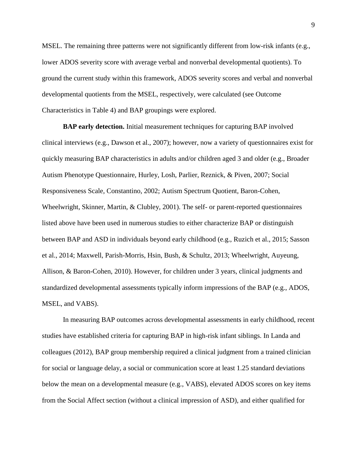MSEL. The remaining three patterns were not significantly different from low-risk infants (e.g., lower ADOS severity score with average verbal and nonverbal developmental quotients). To ground the current study within this framework, ADOS severity scores and verbal and nonverbal developmental quotients from the MSEL, respectively, were calculated (see Outcome Characteristics in Table 4) and BAP groupings were explored.

<span id="page-18-0"></span>**BAP early detection.** Initial measurement techniques for capturing BAP involved clinical interviews (e.g., Dawson et al., 2007); however, now a variety of questionnaires exist for quickly measuring BAP characteristics in adults and/or children aged 3 and older (e.g., Broader Autism Phenotype Questionnaire, Hurley, Losh, Parlier, Reznick, & Piven, 2007; Social Responsiveness Scale, Constantino, 2002; Autism Spectrum Quotient, Baron-Cohen, Wheelwright, Skinner, Martin, & Clubley, 2001). The self- or parent-reported questionnaires listed above have been used in numerous studies to either characterize BAP or distinguish between BAP and ASD in individuals beyond early childhood (e.g., Ruzich et al., 2015; Sasson et al., 2014; Maxwell, Parish-Morris, Hsin, Bush, & Schultz, 2013; Wheelwright, Auyeung, Allison, & Baron-Cohen, 2010). However, for children under 3 years, clinical judgments and standardized developmental assessments typically inform impressions of the BAP (e.g., ADOS, MSEL, and VABS).

In measuring BAP outcomes across developmental assessments in early childhood, recent studies have established criteria for capturing BAP in high-risk infant siblings. In Landa and colleagues (2012), BAP group membership required a clinical judgment from a trained clinician for social or language delay, a social or communication score at least 1.25 standard deviations below the mean on a developmental measure (e.g., VABS), elevated ADOS scores on key items from the Social Affect section (without a clinical impression of ASD), and either qualified for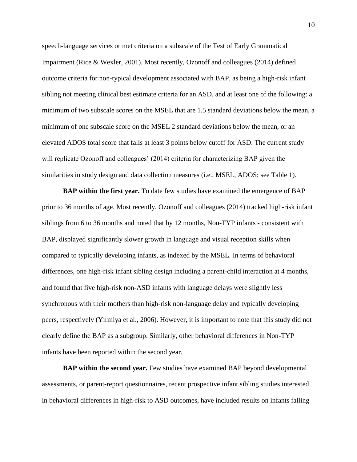speech-language services or met criteria on a subscale of the Test of Early Grammatical Impairment (Rice & Wexler, 2001). Most recently, Ozonoff and colleagues (2014) defined outcome criteria for non-typical development associated with BAP, as being a high-risk infant sibling not meeting clinical best estimate criteria for an ASD, and at least one of the following: a minimum of two subscale scores on the MSEL that are 1.5 standard deviations below the mean, a minimum of one subscale score on the MSEL 2 standard deviations below the mean, or an elevated ADOS total score that falls at least 3 points below cutoff for ASD. The current study will replicate Ozonoff and colleagues' (2014) criteria for characterizing BAP given the similarities in study design and data collection measures (i.e., MSEL, ADOS; see Table 1).

<span id="page-19-0"></span>**BAP within the first year.** To date few studies have examined the emergence of BAP prior to 36 months of age. Most recently, Ozonoff and colleagues (2014) tracked high-risk infant siblings from 6 to 36 months and noted that by 12 months, Non-TYP infants - consistent with BAP, displayed significantly slower growth in language and visual reception skills when compared to typically developing infants, as indexed by the MSEL. In terms of behavioral differences, one high-risk infant sibling design including a parent-child interaction at 4 months, and found that five high-risk non-ASD infants with language delays were slightly less synchronous with their mothers than high-risk non-language delay and typically developing peers, respectively (Yirmiya et al., 2006). However, it is important to note that this study did not clearly define the BAP as a subgroup. Similarly, other behavioral differences in Non-TYP infants have been reported within the second year.

<span id="page-19-1"></span>**BAP within the second year.** Few studies have examined BAP beyond developmental assessments, or parent-report questionnaires, recent prospective infant sibling studies interested in behavioral differences in high-risk to ASD outcomes, have included results on infants falling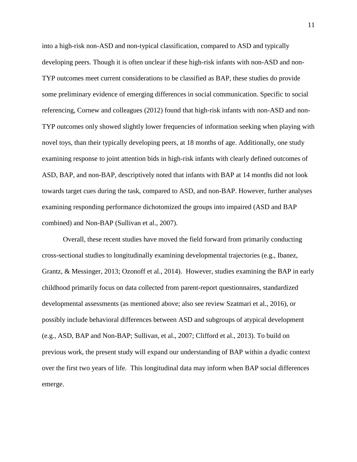into a high-risk non-ASD and non-typical classification, compared to ASD and typically developing peers. Though it is often unclear if these high-risk infants with non-ASD and non-TYP outcomes meet current considerations to be classified as BAP, these studies do provide some preliminary evidence of emerging differences in social communication. Specific to social referencing, Cornew and colleagues (2012) found that high-risk infants with non-ASD and non-TYP outcomes only showed slightly lower frequencies of information seeking when playing with novel toys, than their typically developing peers, at 18 months of age. Additionally, one study examining response to joint attention bids in high-risk infants with clearly defined outcomes of ASD, BAP, and non-BAP, descriptively noted that infants with BAP at 14 months did not look towards target cues during the task, compared to ASD, and non-BAP. However, further analyses examining responding performance dichotomized the groups into impaired (ASD and BAP combined) and Non-BAP (Sullivan et al., 2007).

Overall, these recent studies have moved the field forward from primarily conducting cross-sectional studies to longitudinally examining developmental trajectories (e.g., Ibanez, Grantz, & Messinger, 2013; Ozonoff et al., 2014). However, studies examining the BAP in early childhood primarily focus on data collected from parent-report questionnaires, standardized developmental assessments (as mentioned above; also see review Szatmari et al., 2016), or possibly include behavioral differences between ASD and subgroups of atypical development (e.g., ASD, BAP and Non-BAP; Sullivan, et al., 2007; Clifford et al., 2013). To build on previous work, the present study will expand our understanding of BAP within a dyadic context over the first two years of life. This longitudinal data may inform when BAP social differences emerge.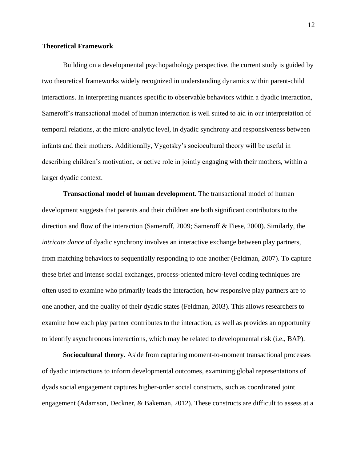#### <span id="page-21-0"></span>**Theoretical Framework**

Building on a developmental psychopathology perspective, the current study is guided by two theoretical frameworks widely recognized in understanding dynamics within parent-child interactions. In interpreting nuances specific to observable behaviors within a dyadic interaction, Sameroff's transactional model of human interaction is well suited to aid in our interpretation of temporal relations, at the micro-analytic level, in dyadic synchrony and responsiveness between infants and their mothers. Additionally, Vygotsky's sociocultural theory will be useful in describing children's motivation, or active role in jointly engaging with their mothers, within a larger dyadic context.

<span id="page-21-1"></span>**Transactional model of human development.** The transactional model of human development suggests that parents and their children are both significant contributors to the direction and flow of the interaction (Sameroff, 2009; Sameroff & Fiese, 2000). Similarly, the *intricate dance* of dyadic synchrony involves an interactive exchange between play partners, from matching behaviors to sequentially responding to one another (Feldman, 2007). To capture these brief and intense social exchanges, process-oriented micro-level coding techniques are often used to examine who primarily leads the interaction, how responsive play partners are to one another, and the quality of their dyadic states (Feldman, 2003). This allows researchers to examine how each play partner contributes to the interaction, as well as provides an opportunity to identify asynchronous interactions, which may be related to developmental risk (i.e., BAP).

<span id="page-21-2"></span>**Sociocultural theory.** Aside from capturing moment-to-moment transactional processes of dyadic interactions to inform developmental outcomes, examining global representations of dyads social engagement captures higher-order social constructs, such as coordinated joint engagement (Adamson, Deckner, & Bakeman, 2012). These constructs are difficult to assess at a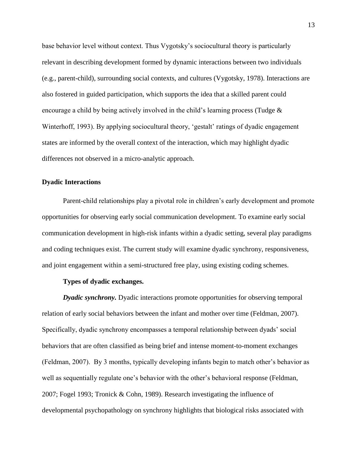base behavior level without context. Thus Vygotsky's sociocultural theory is particularly relevant in describing development formed by dynamic interactions between two individuals (e.g., parent-child), surrounding social contexts, and cultures (Vygotsky, 1978). Interactions are also fostered in guided participation, which supports the idea that a skilled parent could encourage a child by being actively involved in the child's learning process (Tudge  $\&$ Winterhoff, 1993). By applying sociocultural theory, 'gestalt' ratings of dyadic engagement states are informed by the overall context of the interaction, which may highlight dyadic differences not observed in a micro-analytic approach.

#### <span id="page-22-0"></span>**Dyadic Interactions**

Parent-child relationships play a pivotal role in children's early development and promote opportunities for observing early social communication development. To examine early social communication development in high-risk infants within a dyadic setting, several play paradigms and coding techniques exist. The current study will examine dyadic synchrony, responsiveness, and joint engagement within a semi-structured free play, using existing coding schemes.

### **Types of dyadic exchanges.**

<span id="page-22-2"></span><span id="page-22-1"></span>*Dyadic synchrony.* Dyadic interactions promote opportunities for observing temporal relation of early social behaviors between the infant and mother over time (Feldman, 2007). Specifically, dyadic synchrony encompasses a temporal relationship between dyads' social behaviors that are often classified as being brief and intense moment-to-moment exchanges (Feldman, 2007). By 3 months, typically developing infants begin to match other's behavior as well as sequentially regulate one's behavior with the other's behavioral response (Feldman, 2007; Fogel 1993; Tronick & Cohn, 1989). Research investigating the influence of developmental psychopathology on synchrony highlights that biological risks associated with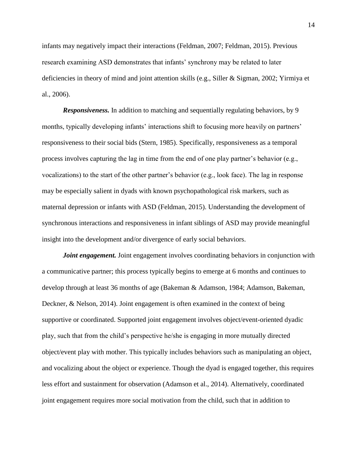infants may negatively impact their interactions (Feldman, 2007; Feldman, 2015). Previous research examining ASD demonstrates that infants' synchrony may be related to later deficiencies in theory of mind and joint attention skills (e.g., Siller & Sigman, 2002; Yirmiya et al., 2006).

<span id="page-23-0"></span>*Responsiveness.* In addition to matching and sequentially regulating behaviors, by 9 months, typically developing infants' interactions shift to focusing more heavily on partners' responsiveness to their social bids (Stern, 1985). Specifically, responsiveness as a temporal process involves capturing the lag in time from the end of one play partner's behavior (e.g., vocalizations) to the start of the other partner's behavior (e.g., look face). The lag in response may be especially salient in dyads with known psychopathological risk markers, such as maternal depression or infants with ASD (Feldman, 2015). Understanding the development of synchronous interactions and responsiveness in infant siblings of ASD may provide meaningful insight into the development and/or divergence of early social behaviors.

<span id="page-23-1"></span>*Joint engagement*. Joint engagement involves coordinating behaviors in conjunction with a communicative partner; this process typically begins to emerge at 6 months and continues to develop through at least 36 months of age (Bakeman & Adamson, 1984; Adamson, Bakeman, Deckner, & Nelson, 2014). Joint engagement is often examined in the context of being supportive or coordinated. Supported joint engagement involves object/event-oriented dyadic play, such that from the child's perspective he/she is engaging in more mutually directed object/event play with mother. This typically includes behaviors such as manipulating an object, and vocalizing about the object or experience. Though the dyad is engaged together, this requires less effort and sustainment for observation (Adamson et al., 2014). Alternatively, coordinated joint engagement requires more social motivation from the child, such that in addition to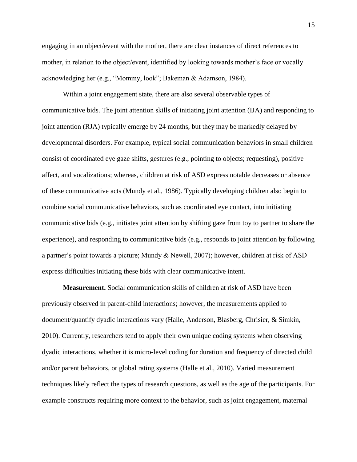engaging in an object/event with the mother, there are clear instances of direct references to mother, in relation to the object/event, identified by looking towards mother's face or vocally acknowledging her (e.g., "Mommy, look"; Bakeman & Adamson, 1984).

Within a joint engagement state, there are also several observable types of communicative bids. The joint attention skills of initiating joint attention (IJA) and responding to joint attention (RJA) typically emerge by 24 months, but they may be markedly delayed by developmental disorders. For example, typical social communication behaviors in small children consist of coordinated eye gaze shifts, gestures (e.g., pointing to objects; requesting), positive affect, and vocalizations; whereas, children at risk of ASD express notable decreases or absence of these communicative acts (Mundy et al., 1986). Typically developing children also begin to combine social communicative behaviors, such as coordinated eye contact, into initiating communicative bids (e.g., initiates joint attention by shifting gaze from toy to partner to share the experience), and responding to communicative bids (e.g., responds to joint attention by following a partner's point towards a picture; Mundy & Newell, 2007); however, children at risk of ASD express difficulties initiating these bids with clear communicative intent.

<span id="page-24-0"></span>**Measurement.** Social communication skills of children at risk of ASD have been previously observed in parent-child interactions; however, the measurements applied to document/quantify dyadic interactions vary (Halle, Anderson, Blasberg, Chrisier, & Simkin, 2010). Currently, researchers tend to apply their own unique coding systems when observing dyadic interactions, whether it is micro-level coding for duration and frequency of directed child and/or parent behaviors, or global rating systems (Halle et al., 2010). Varied measurement techniques likely reflect the types of research questions, as well as the age of the participants. For example constructs requiring more context to the behavior, such as joint engagement, maternal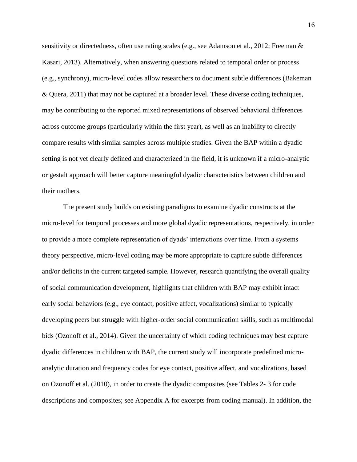sensitivity or directedness, often use rating scales (e.g., see Adamson et al., 2012; Freeman & Kasari, 2013). Alternatively, when answering questions related to temporal order or process (e.g., synchrony), micro-level codes allow researchers to document subtle differences (Bakeman & Quera, 2011) that may not be captured at a broader level. These diverse coding techniques, may be contributing to the reported mixed representations of observed behavioral differences across outcome groups (particularly within the first year), as well as an inability to directly compare results with similar samples across multiple studies. Given the BAP within a dyadic setting is not yet clearly defined and characterized in the field, it is unknown if a micro-analytic or gestalt approach will better capture meaningful dyadic characteristics between children and their mothers.

The present study builds on existing paradigms to examine dyadic constructs at the micro-level for temporal processes and more global dyadic representations, respectively, in order to provide a more complete representation of dyads' interactions over time. From a systems theory perspective, micro-level coding may be more appropriate to capture subtle differences and/or deficits in the current targeted sample. However, research quantifying the overall quality of social communication development, highlights that children with BAP may exhibit intact early social behaviors (e.g., eye contact, positive affect, vocalizations) similar to typically developing peers but struggle with higher-order social communication skills, such as multimodal bids (Ozonoff et al., 2014). Given the uncertainty of which coding techniques may best capture dyadic differences in children with BAP, the current study will incorporate predefined microanalytic duration and frequency codes for eye contact, positive affect, and vocalizations, based on Ozonoff et al. (2010), in order to create the dyadic composites (see Tables 2- 3 for code descriptions and composites; see Appendix A for excerpts from coding manual). In addition, the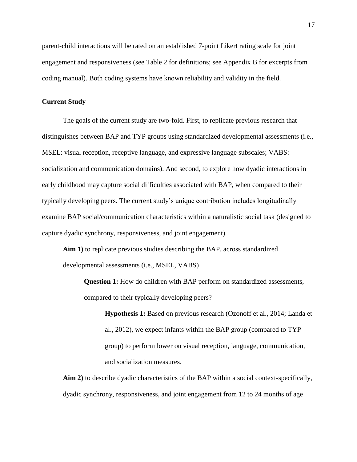parent-child interactions will be rated on an established 7-point Likert rating scale for joint engagement and responsiveness (see Table 2 for definitions; see Appendix B for excerpts from coding manual). Both coding systems have known reliability and validity in the field.

### <span id="page-26-0"></span>**Current Study**

The goals of the current study are two-fold. First, to replicate previous research that distinguishes between BAP and TYP groups using standardized developmental assessments (i.e., MSEL: visual reception, receptive language, and expressive language subscales; VABS: socialization and communication domains). And second, to explore how dyadic interactions in early childhood may capture social difficulties associated with BAP, when compared to their typically developing peers. The current study's unique contribution includes longitudinally examine BAP social/communication characteristics within a naturalistic social task (designed to capture dyadic synchrony, responsiveness, and joint engagement).

<span id="page-26-1"></span>**Aim 1)** to replicate previous studies describing the BAP, across standardized developmental assessments (i.e., MSEL, VABS)

**Question 1:** How do children with BAP perform on standardized assessments, compared to their typically developing peers?

**Hypothesis 1:** Based on previous research (Ozonoff et al., 2014; Landa et al., 2012), we expect infants within the BAP group (compared to TYP group) to perform lower on visual reception, language, communication, and socialization measures.

<span id="page-26-2"></span>**Aim 2)** to describe dyadic characteristics of the BAP within a social context-specifically, dyadic synchrony, responsiveness, and joint engagement from 12 to 24 months of age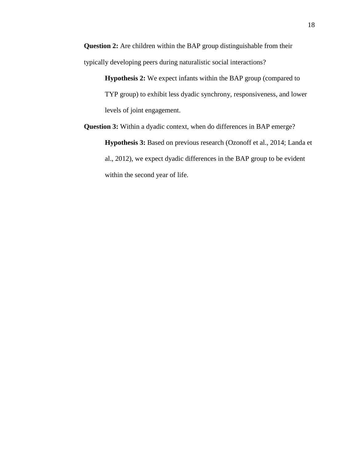**Question 2:** Are children within the BAP group distinguishable from their typically developing peers during naturalistic social interactions?

> **Hypothesis 2:** We expect infants within the BAP group (compared to TYP group) to exhibit less dyadic synchrony, responsiveness, and lower levels of joint engagement.

**Question 3:** Within a dyadic context, when do differences in BAP emerge? **Hypothesis 3:** Based on previous research (Ozonoff et al., 2014; Landa et al., 2012), we expect dyadic differences in the BAP group to be evident within the second year of life.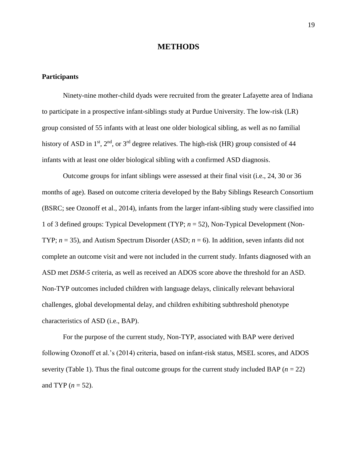### **METHODS**

#### <span id="page-28-1"></span><span id="page-28-0"></span>**Participants**

Ninety-nine mother-child dyads were recruited from the greater Lafayette area of Indiana to participate in a prospective infant-siblings study at Purdue University. The low-risk (LR) group consisted of 55 infants with at least one older biological sibling, as well as no familial history of ASD in  $1<sup>st</sup>$ ,  $2<sup>nd</sup>$ , or  $3<sup>rd</sup>$  degree relatives. The high-risk (HR) group consisted of 44 infants with at least one older biological sibling with a confirmed ASD diagnosis.

Outcome groups for infant siblings were assessed at their final visit (i.e., 24, 30 or 36 months of age). Based on outcome criteria developed by the Baby Siblings Research Consortium (BSRC; see Ozonoff et al., 2014), infants from the larger infant-sibling study were classified into 1 of 3 defined groups: Typical Development (TYP; *n* = 52), Non-Typical Development (Non-TYP; *n* = 35), and Autism Spectrum Disorder (ASD; *n* = 6). In addition, seven infants did not complete an outcome visit and were not included in the current study. Infants diagnosed with an ASD met *DSM-5* criteria, as well as received an ADOS score above the threshold for an ASD. Non-TYP outcomes included children with language delays, clinically relevant behavioral challenges, global developmental delay, and children exhibiting subthreshold phenotype characteristics of ASD (i.e., BAP).

For the purpose of the current study, Non-TYP, associated with BAP were derived following Ozonoff et al.'s (2014) criteria, based on infant-risk status, MSEL scores, and ADOS severity (Table 1). Thus the final outcome groups for the current study included BAP  $(n = 22)$ and TYP  $(n = 52)$ .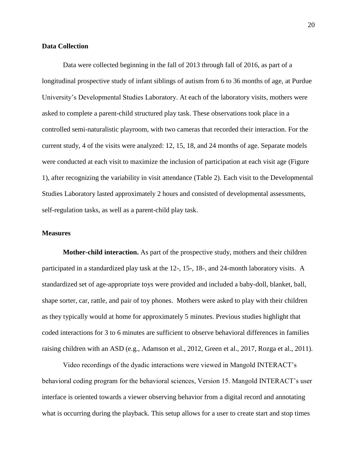#### <span id="page-29-0"></span>**Data Collection**

Data were collected beginning in the fall of 2013 through fall of 2016, as part of a longitudinal prospective study of infant siblings of autism from 6 to 36 months of age, at Purdue University's Developmental Studies Laboratory. At each of the laboratory visits, mothers were asked to complete a parent-child structured play task. These observations took place in a controlled semi-naturalistic playroom, with two cameras that recorded their interaction. For the current study, 4 of the visits were analyzed: 12, 15, 18, and 24 months of age. Separate models were conducted at each visit to maximize the inclusion of participation at each visit age (Figure 1), after recognizing the variability in visit attendance (Table 2). Each visit to the Developmental Studies Laboratory lasted approximately 2 hours and consisted of developmental assessments, self-regulation tasks, as well as a parent-child play task.

### <span id="page-29-1"></span>**Measures**

<span id="page-29-2"></span>**Mother-child interaction.** As part of the prospective study, mothers and their children participated in a standardized play task at the 12-, 15-, 18-, and 24-month laboratory visits. A standardized set of age-appropriate toys were provided and included a baby-doll, blanket, ball, shape sorter, car, rattle, and pair of toy phones. Mothers were asked to play with their children as they typically would at home for approximately 5 minutes. Previous studies highlight that coded interactions for 3 to 6 minutes are sufficient to observe behavioral differences in families raising children with an ASD (e.g., Adamson et al., 2012, Green et al., 2017, Rozga et al., 2011).

Video recordings of the dyadic interactions were viewed in Mangold INTERACT's behavioral coding program for the behavioral sciences, Version 15. Mangold INTERACT's user interface is oriented towards a viewer observing behavior from a digital record and annotating what is occurring during the playback. This setup allows for a user to create start and stop times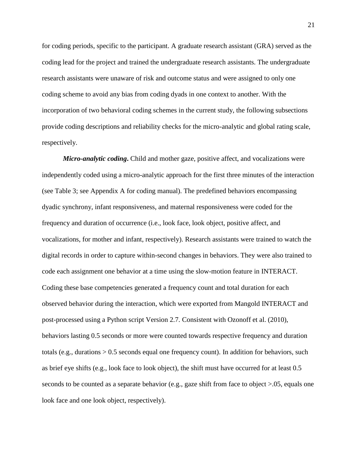for coding periods, specific to the participant. A graduate research assistant (GRA) served as the coding lead for the project and trained the undergraduate research assistants. The undergraduate research assistants were unaware of risk and outcome status and were assigned to only one coding scheme to avoid any bias from coding dyads in one context to another. With the incorporation of two behavioral coding schemes in the current study, the following subsections provide coding descriptions and reliability checks for the micro-analytic and global rating scale, respectively.

<span id="page-30-0"></span>*Micro-analytic coding***.** Child and mother gaze, positive affect, and vocalizations were independently coded using a micro-analytic approach for the first three minutes of the interaction (see Table 3; see Appendix A for coding manual). The predefined behaviors encompassing dyadic synchrony, infant responsiveness, and maternal responsiveness were coded for the frequency and duration of occurrence (i.e., look face, look object, positive affect, and vocalizations, for mother and infant, respectively). Research assistants were trained to watch the digital records in order to capture within-second changes in behaviors. They were also trained to code each assignment one behavior at a time using the slow-motion feature in INTERACT. Coding these base competencies generated a frequency count and total duration for each observed behavior during the interaction, which were exported from Mangold INTERACT and post-processed using a Python script Version 2.7. Consistent with Ozonoff et al. (2010), behaviors lasting 0.5 seconds or more were counted towards respective frequency and duration totals (e.g., durations > 0.5 seconds equal one frequency count). In addition for behaviors, such as brief eye shifts (e.g., look face to look object), the shift must have occurred for at least 0.5 seconds to be counted as a separate behavior (e.g., gaze shift from face to object >.05, equals one look face and one look object, respectively).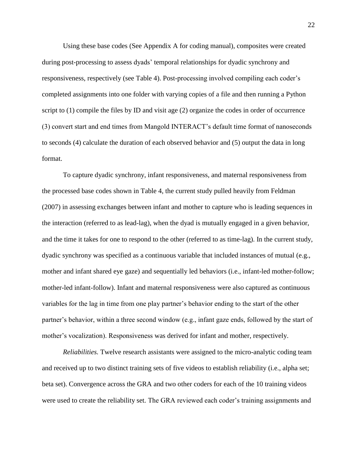Using these base codes (See Appendix A for coding manual), composites were created during post-processing to assess dyads' temporal relationships for dyadic synchrony and responsiveness, respectively (see Table 4). Post-processing involved compiling each coder's completed assignments into one folder with varying copies of a file and then running a Python script to (1) compile the files by ID and visit age (2) organize the codes in order of occurrence (3) convert start and end times from Mangold INTERACT's default time format of nanoseconds to seconds (4) calculate the duration of each observed behavior and (5) output the data in long format.

To capture dyadic synchrony, infant responsiveness, and maternal responsiveness from the processed base codes shown in Table 4, the current study pulled heavily from Feldman (2007) in assessing exchanges between infant and mother to capture who is leading sequences in the interaction (referred to as lead-lag), when the dyad is mutually engaged in a given behavior, and the time it takes for one to respond to the other (referred to as time-lag). In the current study, dyadic synchrony was specified as a continuous variable that included instances of mutual (e.g., mother and infant shared eye gaze) and sequentially led behaviors (i.e., infant-led mother-follow; mother-led infant-follow). Infant and maternal responsiveness were also captured as continuous variables for the lag in time from one play partner's behavior ending to the start of the other partner's behavior, within a three second window (e.g., infant gaze ends, followed by the start of mother's vocalization). Responsiveness was derived for infant and mother, respectively.

<span id="page-31-0"></span>*Reliabilities.* Twelve research assistants were assigned to the micro-analytic coding team and received up to two distinct training sets of five videos to establish reliability (i.e., alpha set; beta set). Convergence across the GRA and two other coders for each of the 10 training videos were used to create the reliability set. The GRA reviewed each coder's training assignments and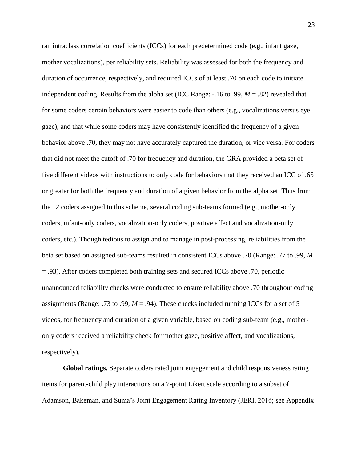ran intraclass correlation coefficients (ICCs) for each predetermined code (e.g., infant gaze, mother vocalizations), per reliability sets. Reliability was assessed for both the frequency and duration of occurrence, respectively, and required ICCs of at least .70 on each code to initiate independent coding. Results from the alpha set (ICC Range: -.16 to .99, *M* = .82) revealed that for some coders certain behaviors were easier to code than others (e.g., vocalizations versus eye gaze), and that while some coders may have consistently identified the frequency of a given behavior above .70, they may not have accurately captured the duration, or vice versa. For coders that did not meet the cutoff of .70 for frequency and duration, the GRA provided a beta set of five different videos with instructions to only code for behaviors that they received an ICC of .65 or greater for both the frequency and duration of a given behavior from the alpha set. Thus from the 12 coders assigned to this scheme, several coding sub-teams formed (e.g., mother-only coders, infant-only coders, vocalization-only coders, positive affect and vocalization-only coders, etc.). Though tedious to assign and to manage in post-processing, reliabilities from the beta set based on assigned sub-teams resulted in consistent ICCs above .70 (Range: .77 to .99, *M* = .93). After coders completed both training sets and secured ICCs above .70, periodic unannounced reliability checks were conducted to ensure reliability above .70 throughout coding assignments (Range: .73 to .99,  $M = .94$ ). These checks included running ICCs for a set of 5 videos, for frequency and duration of a given variable, based on coding sub-team (e.g., motheronly coders received a reliability check for mother gaze, positive affect, and vocalizations, respectively).

<span id="page-32-0"></span>**Global ratings.** Separate coders rated joint engagement and child responsiveness rating items for parent-child play interactions on a 7-point Likert scale according to a subset of Adamson, Bakeman, and Suma's Joint Engagement Rating Inventory (JERI, 2016; see Appendix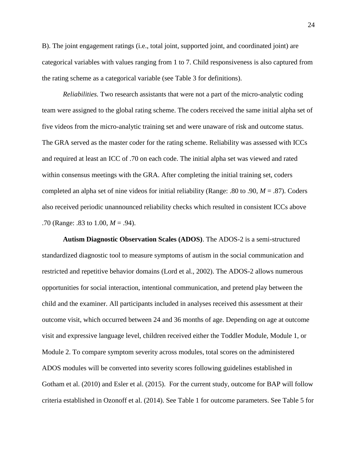B). The joint engagement ratings (i.e., total joint, supported joint, and coordinated joint) are categorical variables with values ranging from 1 to 7. Child responsiveness is also captured from the rating scheme as a categorical variable (see Table 3 for definitions).

<span id="page-33-0"></span>*Reliabilities.* Two research assistants that were not a part of the micro-analytic coding team were assigned to the global rating scheme. The coders received the same initial alpha set of five videos from the micro-analytic training set and were unaware of risk and outcome status. The GRA served as the master coder for the rating scheme. Reliability was assessed with ICCs and required at least an ICC of .70 on each code. The initial alpha set was viewed and rated within consensus meetings with the GRA. After completing the initial training set, coders completed an alpha set of nine videos for initial reliability (Range: .80 to .90, *M* = .87). Coders also received periodic unannounced reliability checks which resulted in consistent ICCs above .70 (Range: .83 to 1.00, *M* = .94).

<span id="page-33-1"></span>**Autism Diagnostic Observation Scales (ADOS)**. The ADOS-2 is a semi-structured standardized diagnostic tool to measure symptoms of autism in the social communication and restricted and repetitive behavior domains (Lord et al., 2002). The ADOS-2 allows numerous opportunities for social interaction, intentional communication, and pretend play between the child and the examiner. All participants included in analyses received this assessment at their outcome visit, which occurred between 24 and 36 months of age. Depending on age at outcome visit and expressive language level, children received either the Toddler Module, Module 1, or Module 2. To compare symptom severity across modules, total scores on the administered ADOS modules will be converted into severity scores following guidelines established in Gotham et al. (2010) and Esler et al. (2015). For the current study, outcome for BAP will follow criteria established in Ozonoff et al. (2014). See Table 1 for outcome parameters. See Table 5 for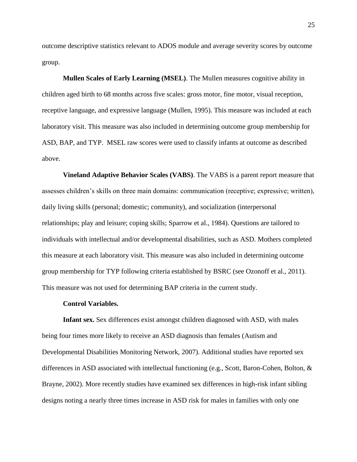outcome descriptive statistics relevant to ADOS module and average severity scores by outcome group.

<span id="page-34-0"></span>**Mullen Scales of Early Learning (MSEL)**. The Mullen measures cognitive ability in children aged birth to 68 months across five scales: gross motor, fine motor, visual reception, receptive language, and expressive language (Mullen, 1995). This measure was included at each laboratory visit. This measure was also included in determining outcome group membership for ASD, BAP, and TYP. MSEL raw scores were used to classify infants at outcome as described above.

<span id="page-34-1"></span>**Vineland Adaptive Behavior Scales (VABS)**. The VABS is a parent report measure that assesses children's skills on three main domains: communication (receptive; expressive; written), daily living skills (personal; domestic; community), and socialization (interpersonal relationships; play and leisure; coping skills; Sparrow et al., 1984). Questions are tailored to individuals with intellectual and/or developmental disabilities, such as ASD. Mothers completed this measure at each laboratory visit. This measure was also included in determining outcome group membership for TYP following criteria established by BSRC (see Ozonoff et al., 2011). This measure was not used for determining BAP criteria in the current study.

#### **Control Variables.**

<span id="page-34-3"></span><span id="page-34-2"></span>**Infant sex.** Sex differences exist amongst children diagnosed with ASD, with males being four times more likely to receive an ASD diagnosis than females (Autism and Developmental Disabilities Monitoring Network, 2007). Additional studies have reported sex differences in ASD associated with intellectual functioning (e.g., Scott, Baron-Cohen, Bolton, & Brayne, 2002). More recently studies have examined sex differences in high-risk infant sibling designs noting a nearly three times increase in ASD risk for males in families with only one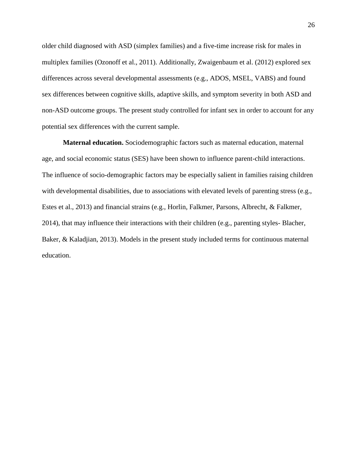older child diagnosed with ASD (simplex families) and a five-time increase risk for males in multiplex families (Ozonoff et al., 2011). Additionally, Zwaigenbaum et al. (2012) explored sex differences across several developmental assessments (e.g., ADOS, MSEL, VABS) and found sex differences between cognitive skills, adaptive skills, and symptom severity in both ASD and non-ASD outcome groups. The present study controlled for infant sex in order to account for any potential sex differences with the current sample.

<span id="page-35-0"></span>**Maternal education.** Sociodemographic factors such as maternal education, maternal age, and social economic status (SES) have been shown to influence parent-child interactions. The influence of socio-demographic factors may be especially salient in families raising children with developmental disabilities, due to associations with elevated levels of parenting stress (e.g., Estes et al., 2013) and financial strains (e.g., Horlin, Falkmer, Parsons, Albrecht, & Falkmer, 2014), that may influence their interactions with their children (e.g., parenting styles- Blacher, Baker, & Kaladjian, 2013). Models in the present study included terms for continuous maternal education.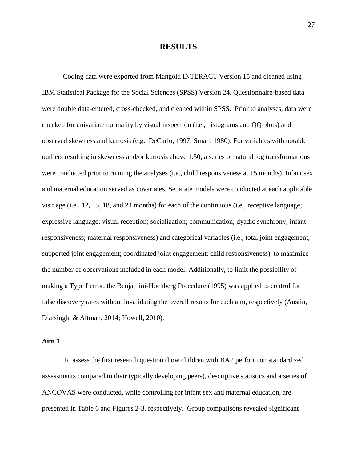## **RESULTS**

Coding data were exported from Mangold INTERACT Version 15 and cleaned using IBM Statistical Package for the Social Sciences (SPSS) Version 24. Questionnaire-based data were double data-entered, cross-checked, and cleaned within SPSS. Prior to analyses, data were checked for univariate normality by visual inspection (i.e., histograms and QQ plots) and observed skewness and kurtosis (e.g., DeCarlo, 1997; Small, 1980). For variables with notable outliers resulting in skewness and/or kurtosis above 1.50, a series of natural log transformations were conducted prior to running the analyses (i.e., child responsiveness at 15 months). Infant sex and maternal education served as covariates. Separate models were conducted at each applicable visit age (i.e., 12, 15, 18, and 24 months) for each of the continuous (i.e., receptive language; expressive language; visual reception; socialization; communication; dyadic synchrony; infant responsiveness; maternal responsiveness) and categorical variables (i.e., total joint engagement; supported joint engagement; coordinated joint engagement; child responsiveness), to maximize the number of observations included in each model. Additionally, to limit the possibility of making a Type I error, the Benjamini-Hochberg Procedure (1995) was applied to control for false discovery rates without invalidating the overall results for each aim, respectively (Austin, Dialsingh, & Altman, 2014; Howell, 2010).

# **Aim 1**

To assess the first research question (how children with BAP perform on standardized assessments compared to their typically developing peers), descriptive statistics and a series of ANCOVAS were conducted, while controlling for infant sex and maternal education, are presented in Table 6 and Figures 2-3, respectively. Group comparisons revealed significant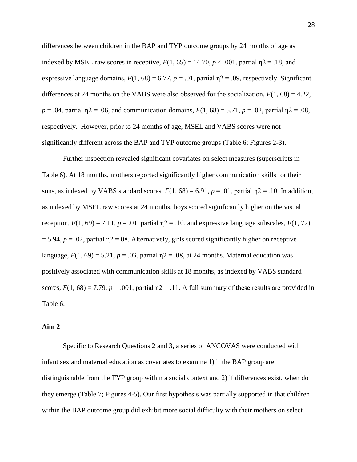differences between children in the BAP and TYP outcome groups by 24 months of age as indexed by MSEL raw scores in receptive,  $F(1, 65) = 14.70$ ,  $p < .001$ , partial  $p = .18$ , and expressive language domains,  $F(1, 68) = 6.77$ ,  $p = .01$ , partial  $n2 = .09$ , respectively. Significant differences at 24 months on the VABS were also observed for the socialization,  $F(1, 68) = 4.22$ , *p* = .04, partial  $n^2 = 0.06$ , and communication domains,  $F(1, 68) = 5.71$ ,  $p = 0.02$ , partial  $n^2 = 0.08$ , respectively. However, prior to 24 months of age, MSEL and VABS scores were not significantly different across the BAP and TYP outcome groups (Table 6; Figures 2-3).

Further inspection revealed significant covariates on select measures (superscripts in Table 6). At 18 months, mothers reported significantly higher communication skills for their sons, as indexed by VABS standard scores,  $F(1, 68) = 6.91$ ,  $p = .01$ , partial  $p = .10$ . In addition, as indexed by MSEL raw scores at 24 months, boys scored significantly higher on the visual reception,  $F(1, 69) = 7.11$ ,  $p = .01$ , partial  $p = 1.10$ , and expressive language subscales,  $F(1, 72)$  $= 5.94$ ,  $p = .02$ , partial  $\eta$ 2 = 08. Alternatively, girls scored significantly higher on receptive language,  $F(1, 69) = 5.21$ ,  $p = .03$ , partial  $p = .08$ , at 24 months. Maternal education was positively associated with communication skills at 18 months, as indexed by VABS standard scores,  $F(1, 68) = 7.79$ ,  $p = .001$ , partial  $p = 11$ . A full summary of these results are provided in Table 6.

# **Aim 2**

Specific to Research Questions 2 and 3, a series of ANCOVAS were conducted with infant sex and maternal education as covariates to examine 1) if the BAP group are distinguishable from the TYP group within a social context and 2) if differences exist, when do they emerge (Table 7; Figures 4-5). Our first hypothesis was partially supported in that children within the BAP outcome group did exhibit more social difficulty with their mothers on select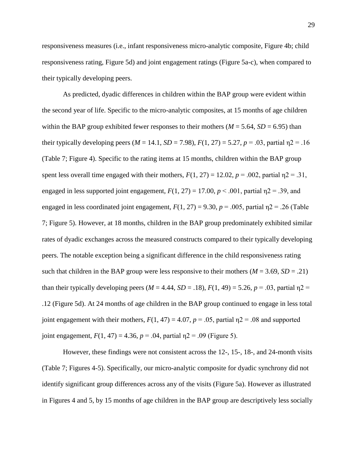responsiveness measures (i.e., infant responsiveness micro-analytic composite, Figure 4b; child responsiveness rating, Figure 5d) and joint engagement ratings (Figure 5a-c), when compared to their typically developing peers.

As predicted, dyadic differences in children within the BAP group were evident within the second year of life. Specific to the micro-analytic composites, at 15 months of age children within the BAP group exhibited fewer responses to their mothers ( $M = 5.64$ ,  $SD = 6.95$ ) than their typically developing peers ( $M = 14.1$ ,  $SD = 7.98$ ),  $F(1, 27) = 5.27$ ,  $p = .03$ , partial  $p = 16$ (Table 7; Figure 4). Specific to the rating items at 15 months, children within the BAP group spent less overall time engaged with their mothers,  $F(1, 27) = 12.02$ ,  $p = .002$ , partial  $p = .31$ , engaged in less supported joint engagement,  $F(1, 27) = 17.00$ ,  $p < .001$ , partial  $p2 = .39$ , and engaged in less coordinated joint engagement,  $F(1, 27) = 9.30$ ,  $p = .005$ , partial  $p = .26$  (Table 7; Figure 5). However, at 18 months, children in the BAP group predominately exhibited similar rates of dyadic exchanges across the measured constructs compared to their typically developing peers. The notable exception being a significant difference in the child responsiveness rating such that children in the BAP group were less responsive to their mothers ( $M = 3.69$ ,  $SD = .21$ ) than their typically developing peers ( $M = 4.44$ ,  $SD = .18$ ),  $F(1, 49) = 5.26$ ,  $p = .03$ , partial  $\eta$ 2 = .12 (Figure 5d). At 24 months of age children in the BAP group continued to engage in less total joint engagement with their mothers,  $F(1, 47) = 4.07$ ,  $p = .05$ , partial  $p = .08$  and supported joint engagement,  $F(1, 47) = 4.36$ ,  $p = .04$ , partial  $p = .09$  (Figure 5).

However, these findings were not consistent across the 12-, 15-, 18-, and 24-month visits (Table 7; Figures 4-5). Specifically, our micro-analytic composite for dyadic synchrony did not identify significant group differences across any of the visits (Figure 5a). However as illustrated in Figures 4 and 5, by 15 months of age children in the BAP group are descriptively less socially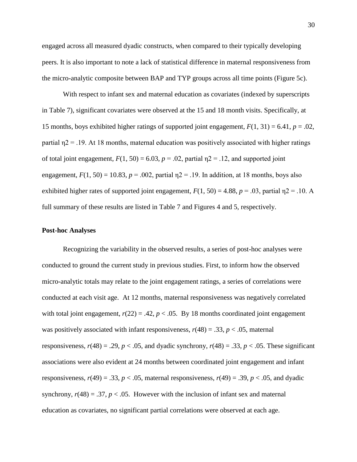engaged across all measured dyadic constructs, when compared to their typically developing peers. It is also important to note a lack of statistical difference in maternal responsiveness from the micro-analytic composite between BAP and TYP groups across all time points (Figure 5c).

With respect to infant sex and maternal education as covariates (indexed by superscripts in Table 7), significant covariates were observed at the 15 and 18 month visits. Specifically, at 15 months, boys exhibited higher ratings of supported joint engagement,  $F(1, 31) = 6.41$ ,  $p = .02$ , partial  $\eta$ 2 = .19. At 18 months, maternal education was positively associated with higher ratings of total joint engagement,  $F(1, 50) = 6.03$ ,  $p = .02$ , partial  $p = .12$ , and supported joint engagement,  $F(1, 50) = 10.83$ ,  $p = .002$ , partial  $p = 19$ . In addition, at 18 months, boys also exhibited higher rates of supported joint engagement,  $F(1, 50) = 4.88$ ,  $p = .03$ , partial  $p = .10$ . A full summary of these results are listed in Table 7 and Figures 4 and 5, respectively.

#### **Post-hoc Analyses**

Recognizing the variability in the observed results, a series of post-hoc analyses were conducted to ground the current study in previous studies. First, to inform how the observed micro-analytic totals may relate to the joint engagement ratings, a series of correlations were conducted at each visit age. At 12 months, maternal responsiveness was negatively correlated with total joint engagement,  $r(22) = .42$ ,  $p < .05$ . By 18 months coordinated joint engagement was positively associated with infant responsiveness,  $r(48) = .33$ ,  $p < .05$ , maternal responsiveness,  $r(48) = .29$ ,  $p < .05$ , and dyadic synchrony,  $r(48) = .33$ ,  $p < .05$ . These significant associations were also evident at 24 months between coordinated joint engagement and infant responsiveness,  $r(49) = .33$ ,  $p < .05$ , maternal responsiveness,  $r(49) = .39$ ,  $p < .05$ , and dyadic synchrony,  $r(48) = .37$ ,  $p < .05$ . However with the inclusion of infant sex and maternal education as covariates, no significant partial correlations were observed at each age.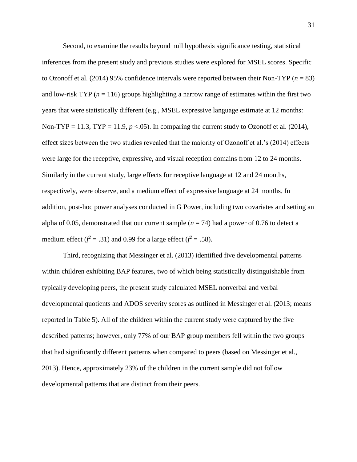Second, to examine the results beyond null hypothesis significance testing, statistical inferences from the present study and previous studies were explored for MSEL scores. Specific to Ozonoff et al. (2014) 95% confidence intervals were reported between their Non-TYP (*n* = 83) and low-risk TYP  $(n = 116)$  groups highlighting a narrow range of estimates within the first two years that were statistically different (e.g., MSEL expressive language estimate at 12 months: Non-TYP = 11.3, TYP = 11.9,  $p < 0.05$ ). In comparing the current study to Ozonoff et al. (2014), effect sizes between the two studies revealed that the majority of Ozonoff et al.'s (2014) effects were large for the receptive, expressive, and visual reception domains from 12 to 24 months. Similarly in the current study, large effects for receptive language at 12 and 24 months, respectively, were observe, and a medium effect of expressive language at 24 months. In addition, post-hoc power analyses conducted in G Power, including two covariates and setting an alpha of 0.05, demonstrated that our current sample  $(n = 74)$  had a power of 0.76 to detect a medium effect ( $f^2 = .31$ ) and 0.99 for a large effect ( $f^2 = .58$ ).

Third, recognizing that Messinger et al. (2013) identified five developmental patterns within children exhibiting BAP features, two of which being statistically distinguishable from typically developing peers, the present study calculated MSEL nonverbal and verbal developmental quotients and ADOS severity scores as outlined in Messinger et al. (2013; means reported in Table 5). All of the children within the current study were captured by the five described patterns; however, only 77% of our BAP group members fell within the two groups that had significantly different patterns when compared to peers (based on Messinger et al., 2013). Hence, approximately 23% of the children in the current sample did not follow developmental patterns that are distinct from their peers.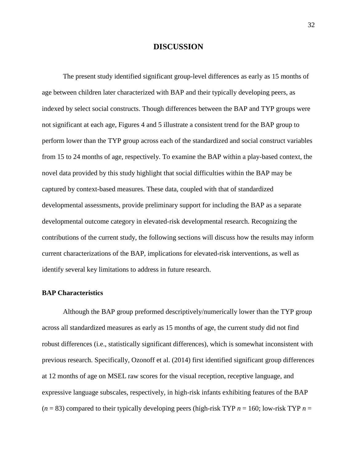# **DISCUSSION**

The present study identified significant group-level differences as early as 15 months of age between children later characterized with BAP and their typically developing peers, as indexed by select social constructs. Though differences between the BAP and TYP groups were not significant at each age, Figures 4 and 5 illustrate a consistent trend for the BAP group to perform lower than the TYP group across each of the standardized and social construct variables from 15 to 24 months of age, respectively. To examine the BAP within a play-based context, the novel data provided by this study highlight that social difficulties within the BAP may be captured by context-based measures. These data, coupled with that of standardized developmental assessments, provide preliminary support for including the BAP as a separate developmental outcome category in elevated-risk developmental research. Recognizing the contributions of the current study, the following sections will discuss how the results may inform current characterizations of the BAP, implications for elevated-risk interventions, as well as identify several key limitations to address in future research.

#### **BAP Characteristics**

Although the BAP group preformed descriptively/numerically lower than the TYP group across all standardized measures as early as 15 months of age, the current study did not find robust differences (i.e., statistically significant differences), which is somewhat inconsistent with previous research. Specifically, Ozonoff et al. (2014) first identified significant group differences at 12 months of age on MSEL raw scores for the visual reception, receptive language, and expressive language subscales, respectively, in high-risk infants exhibiting features of the BAP  $(n = 83)$  compared to their typically developing peers (high-risk TYP  $n = 160$ ; low-risk TYP  $n =$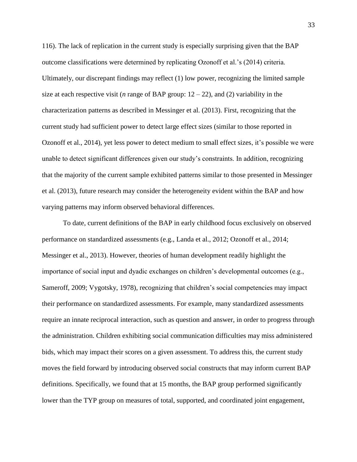116). The lack of replication in the current study is especially surprising given that the BAP outcome classifications were determined by replicating Ozonoff et al.'s (2014) criteria. Ultimately, our discrepant findings may reflect (1) low power, recognizing the limited sample size at each respective visit (*n* range of BAP group:  $12 - 22$ ), and (2) variability in the characterization patterns as described in Messinger et al. (2013). First, recognizing that the current study had sufficient power to detect large effect sizes (similar to those reported in Ozonoff et al., 2014), yet less power to detect medium to small effect sizes, it's possible we were unable to detect significant differences given our study's constraints. In addition, recognizing that the majority of the current sample exhibited patterns similar to those presented in Messinger et al. (2013), future research may consider the heterogeneity evident within the BAP and how varying patterns may inform observed behavioral differences.

To date, current definitions of the BAP in early childhood focus exclusively on observed performance on standardized assessments (e.g., Landa et al., 2012; Ozonoff et al., 2014; Messinger et al., 2013). However, theories of human development readily highlight the importance of social input and dyadic exchanges on children's developmental outcomes (e.g., Sameroff, 2009; Vygotsky, 1978), recognizing that children's social competencies may impact their performance on standardized assessments. For example, many standardized assessments require an innate reciprocal interaction, such as question and answer, in order to progress through the administration. Children exhibiting social communication difficulties may miss administered bids, which may impact their scores on a given assessment. To address this, the current study moves the field forward by introducing observed social constructs that may inform current BAP definitions. Specifically, we found that at 15 months, the BAP group performed significantly lower than the TYP group on measures of total, supported, and coordinated joint engagement,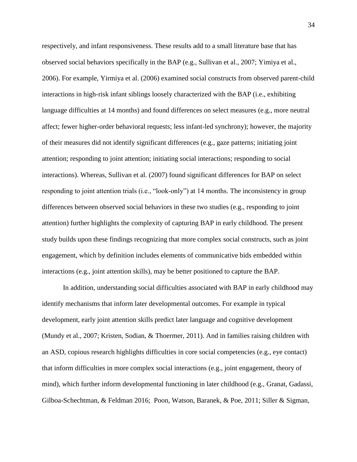respectively, and infant responsiveness. These results add to a small literature base that has observed social behaviors specifically in the BAP (e.g., Sullivan et al., 2007; Yimiya et al., 2006). For example, Yirmiya et al. (2006) examined social constructs from observed parent-child interactions in high-risk infant siblings loosely characterized with the BAP (i.e., exhibiting language difficulties at 14 months) and found differences on select measures (e.g., more neutral affect; fewer higher-order behavioral requests; less infant-led synchrony); however, the majority of their measures did not identify significant differences (e.g., gaze patterns; initiating joint attention; responding to joint attention; initiating social interactions; responding to social interactions). Whereas, Sullivan et al. (2007) found significant differences for BAP on select responding to joint attention trials (i.e., "look-only") at 14 months. The inconsistency in group differences between observed social behaviors in these two studies (e.g., responding to joint attention) further highlights the complexity of capturing BAP in early childhood. The present study builds upon these findings recognizing that more complex social constructs, such as joint engagement, which by definition includes elements of communicative bids embedded within interactions (e.g., joint attention skills), may be better positioned to capture the BAP.

In addition, understanding social difficulties associated with BAP in early childhood may identify mechanisms that inform later developmental outcomes. For example in typical development, early joint attention skills predict later language and cognitive development (Mundy et al., 2007; Kristen, Sodian, & Thoermer, 2011). And in families raising children with an ASD, copious research highlights difficulties in core social competencies (e.g., eye contact) that inform difficulties in more complex social interactions (e.g., joint engagement, theory of mind), which further inform developmental functioning in later childhood (e.g., Granat, Gadassi, Gilboa-Schechtman, & Feldman 2016; Poon, Watson, Baranek, & Poe, 2011; Siller & Sigman,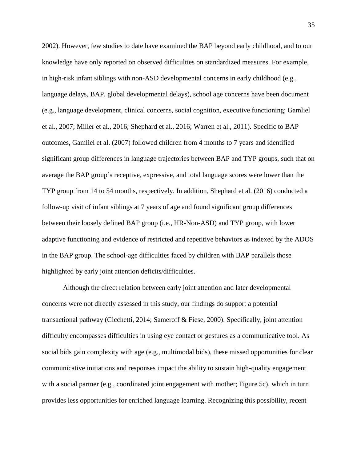2002). However, few studies to date have examined the BAP beyond early childhood, and to our knowledge have only reported on observed difficulties on standardized measures. For example, in high-risk infant siblings with non-ASD developmental concerns in early childhood (e.g., language delays, BAP, global developmental delays), school age concerns have been document (e.g., language development, clinical concerns, social cognition, executive functioning; Gamliel et al., 2007; Miller et al., 2016; Shephard et al., 2016; Warren et al., 2011). Specific to BAP outcomes, Gamliel et al. (2007) followed children from 4 months to 7 years and identified significant group differences in language trajectories between BAP and TYP groups, such that on average the BAP group's receptive, expressive, and total language scores were lower than the TYP group from 14 to 54 months, respectively. In addition, Shephard et al. (2016) conducted a follow-up visit of infant siblings at 7 years of age and found significant group differences between their loosely defined BAP group (i.e., HR-Non-ASD) and TYP group, with lower adaptive functioning and evidence of restricted and repetitive behaviors as indexed by the ADOS in the BAP group. The school-age difficulties faced by children with BAP parallels those highlighted by early joint attention deficits/difficulties.

Although the direct relation between early joint attention and later developmental concerns were not directly assessed in this study, our findings do support a potential transactional pathway (Cicchetti, 2014; Sameroff & Fiese, 2000). Specifically, joint attention difficulty encompasses difficulties in using eye contact or gestures as a communicative tool. As social bids gain complexity with age (e.g., multimodal bids), these missed opportunities for clear communicative initiations and responses impact the ability to sustain high-quality engagement with a social partner (e.g., coordinated joint engagement with mother; Figure 5c), which in turn provides less opportunities for enriched language learning. Recognizing this possibility, recent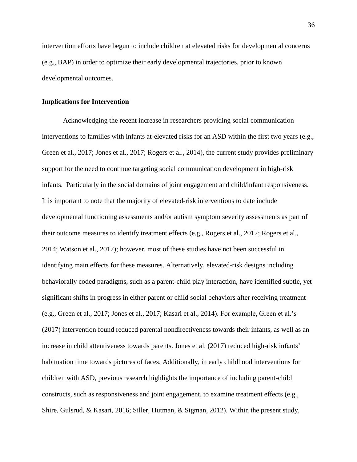intervention efforts have begun to include children at elevated risks for developmental concerns (e.g., BAP) in order to optimize their early developmental trajectories, prior to known developmental outcomes.

#### **Implications for Intervention**

Acknowledging the recent increase in researchers providing social communication interventions to families with infants at-elevated risks for an ASD within the first two years (e.g., Green et al., 2017; Jones et al., 2017; Rogers et al., 2014), the current study provides preliminary support for the need to continue targeting social communication development in high-risk infants. Particularly in the social domains of joint engagement and child/infant responsiveness. It is important to note that the majority of elevated-risk interventions to date include developmental functioning assessments and/or autism symptom severity assessments as part of their outcome measures to identify treatment effects (e.g., Rogers et al., 2012; Rogers et al., 2014; Watson et al., 2017); however, most of these studies have not been successful in identifying main effects for these measures. Alternatively, elevated-risk designs including behaviorally coded paradigms, such as a parent-child play interaction, have identified subtle, yet significant shifts in progress in either parent or child social behaviors after receiving treatment (e.g., Green et al., 2017; Jones et al., 2017; Kasari et al., 2014). For example, Green et al.'s (2017) intervention found reduced parental nondirectiveness towards their infants, as well as an increase in child attentiveness towards parents. Jones et al. (2017) reduced high-risk infants' habituation time towards pictures of faces. Additionally, in early childhood interventions for children with ASD, previous research highlights the importance of including parent-child constructs, such as responsiveness and joint engagement, to examine treatment effects (e.g., Shire, Gulsrud, & Kasari, 2016; Siller, Hutman, & Sigman, 2012). Within the present study,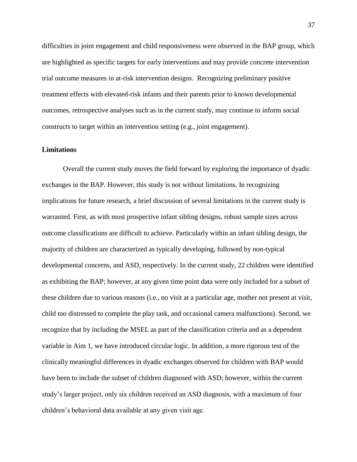difficulties in joint engagement and child responsiveness were observed in the BAP group, which are highlighted as specific targets for early interventions and may provide concrete intervention trial outcome measures in at-risk intervention designs. Recognizing preliminary positive treatment effects with elevated-risk infants and their parents prior to known developmental outcomes, retrospective analyses such as in the current study, may continue to inform social constructs to target within an intervention setting (e.g., joint engagement).

#### **Limitations**

Overall the current study moves the field forward by exploring the importance of dyadic exchanges in the BAP. However, this study is not without limitations. In recognizing implications for future research, a brief discussion of several limitations in the current study is warranted. First, as with most prospective infant sibling designs, robust sample sizes across outcome classifications are difficult to achieve. Particularly within an infant sibling design, the majority of children are characterized as typically developing, followed by non-typical developmental concerns, and ASD, respectively. In the current study, 22 children were identified as exhibiting the BAP; however, at any given time point data were only included for a subset of these children due to various reasons (i.e., no visit at a particular age, mother not present at visit, child too distressed to complete the play task, and occasional camera malfunctions). Second, we recognize that by including the MSEL as part of the classification criteria and as a dependent variable in Aim 1, we have introduced circular logic. In addition, a more rigorous test of the clinically meaningful differences in dyadic exchanges observed for children with BAP would have been to include the subset of children diagnosed with ASD; however, within the current study's larger project, only six children received an ASD diagnosis, with a maximum of four children's behavioral data available at any given visit age.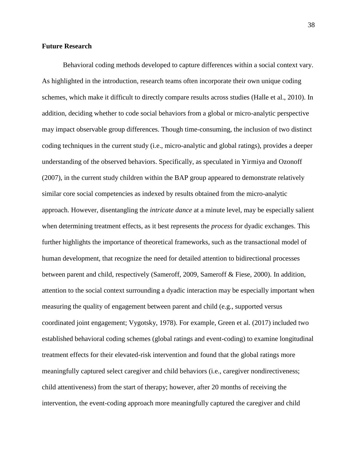#### **Future Research**

Behavioral coding methods developed to capture differences within a social context vary. As highlighted in the introduction, research teams often incorporate their own unique coding schemes, which make it difficult to directly compare results across studies (Halle et al., 2010). In addition, deciding whether to code social behaviors from a global or micro-analytic perspective may impact observable group differences. Though time-consuming, the inclusion of two distinct coding techniques in the current study (i.e., micro-analytic and global ratings), provides a deeper understanding of the observed behaviors. Specifically, as speculated in Yirmiya and Ozonoff (2007), in the current study children within the BAP group appeared to demonstrate relatively similar core social competencies as indexed by results obtained from the micro-analytic approach. However, disentangling the *intricate dance* at a minute level, may be especially salient when determining treatment effects, as it best represents the *process* for dyadic exchanges. This further highlights the importance of theoretical frameworks, such as the transactional model of human development, that recognize the need for detailed attention to bidirectional processes between parent and child, respectively (Sameroff, 2009, Sameroff & Fiese, 2000). In addition, attention to the social context surrounding a dyadic interaction may be especially important when measuring the quality of engagement between parent and child (e.g., supported versus coordinated joint engagement; Vygotsky, 1978). For example, Green et al. (2017) included two established behavioral coding schemes (global ratings and event-coding) to examine longitudinal treatment effects for their elevated-risk intervention and found that the global ratings more meaningfully captured select caregiver and child behaviors (i.e., caregiver nondirectiveness; child attentiveness) from the start of therapy; however, after 20 months of receiving the intervention, the event-coding approach more meaningfully captured the caregiver and child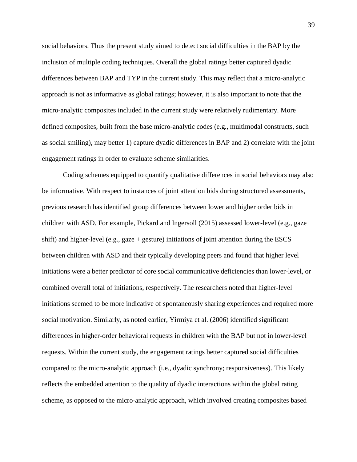social behaviors. Thus the present study aimed to detect social difficulties in the BAP by the inclusion of multiple coding techniques. Overall the global ratings better captured dyadic differences between BAP and TYP in the current study. This may reflect that a micro-analytic approach is not as informative as global ratings; however, it is also important to note that the micro-analytic composites included in the current study were relatively rudimentary. More defined composites, built from the base micro-analytic codes (e.g., multimodal constructs, such as social smiling), may better 1) capture dyadic differences in BAP and 2) correlate with the joint engagement ratings in order to evaluate scheme similarities.

Coding schemes equipped to quantify qualitative differences in social behaviors may also be informative. With respect to instances of joint attention bids during structured assessments, previous research has identified group differences between lower and higher order bids in children with ASD. For example, Pickard and Ingersoll (2015) assessed lower-level (e.g., gaze shift) and higher-level (e.g., gaze + gesture) initiations of joint attention during the ESCS between children with ASD and their typically developing peers and found that higher level initiations were a better predictor of core social communicative deficiencies than lower-level, or combined overall total of initiations, respectively. The researchers noted that higher-level initiations seemed to be more indicative of spontaneously sharing experiences and required more social motivation. Similarly, as noted earlier, Yirmiya et al. (2006) identified significant differences in higher-order behavioral requests in children with the BAP but not in lower-level requests. Within the current study, the engagement ratings better captured social difficulties compared to the micro-analytic approach (i.e., dyadic synchrony; responsiveness). This likely reflects the embedded attention to the quality of dyadic interactions within the global rating scheme, as opposed to the micro-analytic approach, which involved creating composites based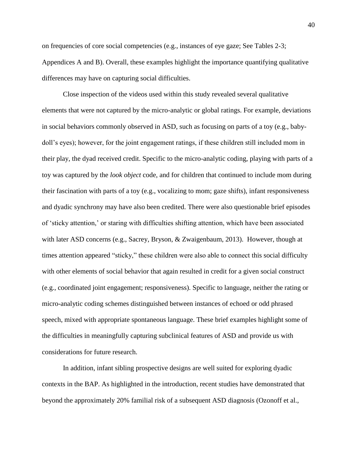on frequencies of core social competencies (e.g., instances of eye gaze; See Tables 2-3; Appendices A and B). Overall, these examples highlight the importance quantifying qualitative differences may have on capturing social difficulties.

Close inspection of the videos used within this study revealed several qualitative elements that were not captured by the micro-analytic or global ratings. For example, deviations in social behaviors commonly observed in ASD, such as focusing on parts of a toy (e.g., babydoll's eyes); however, for the joint engagement ratings, if these children still included mom in their play, the dyad received credit. Specific to the micro-analytic coding, playing with parts of a toy was captured by the *look object* code, and for children that continued to include mom during their fascination with parts of a toy (e.g., vocalizing to mom; gaze shifts), infant responsiveness and dyadic synchrony may have also been credited. There were also questionable brief episodes of 'sticky attention,' or staring with difficulties shifting attention, which have been associated with later ASD concerns (e.g., Sacrey, Bryson, & Zwaigenbaum, 2013). However, though at times attention appeared "sticky," these children were also able to connect this social difficulty with other elements of social behavior that again resulted in credit for a given social construct (e.g., coordinated joint engagement; responsiveness). Specific to language, neither the rating or micro-analytic coding schemes distinguished between instances of echoed or odd phrased speech, mixed with appropriate spontaneous language. These brief examples highlight some of the difficulties in meaningfully capturing subclinical features of ASD and provide us with considerations for future research.

In addition, infant sibling prospective designs are well suited for exploring dyadic contexts in the BAP. As highlighted in the introduction, recent studies have demonstrated that beyond the approximately 20% familial risk of a subsequent ASD diagnosis (Ozonoff et al.,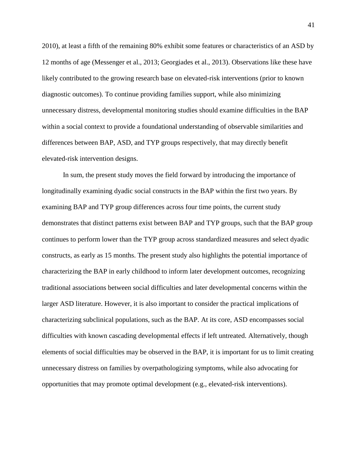2010), at least a fifth of the remaining 80% exhibit some features or characteristics of an ASD by 12 months of age (Messenger et al., 2013; Georgiades et al., 2013). Observations like these have likely contributed to the growing research base on elevated-risk interventions (prior to known diagnostic outcomes). To continue providing families support, while also minimizing unnecessary distress, developmental monitoring studies should examine difficulties in the BAP within a social context to provide a foundational understanding of observable similarities and differences between BAP, ASD, and TYP groups respectively, that may directly benefit elevated-risk intervention designs.

In sum, the present study moves the field forward by introducing the importance of longitudinally examining dyadic social constructs in the BAP within the first two years. By examining BAP and TYP group differences across four time points, the current study demonstrates that distinct patterns exist between BAP and TYP groups, such that the BAP group continues to perform lower than the TYP group across standardized measures and select dyadic constructs, as early as 15 months. The present study also highlights the potential importance of characterizing the BAP in early childhood to inform later development outcomes, recognizing traditional associations between social difficulties and later developmental concerns within the larger ASD literature. However, it is also important to consider the practical implications of characterizing subclinical populations, such as the BAP. At its core, ASD encompasses social difficulties with known cascading developmental effects if left untreated. Alternatively, though elements of social difficulties may be observed in the BAP, it is important for us to limit creating unnecessary distress on families by overpathologizing symptoms, while also advocating for opportunities that may promote optimal development (e.g., elevated-risk interventions).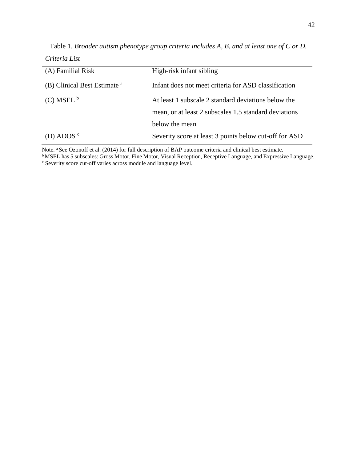| Criteria List                           |                                                        |
|-----------------------------------------|--------------------------------------------------------|
| (A) Familial Risk                       | High-risk infant sibling                               |
| (B) Clinical Best Estimate <sup>a</sup> | Infant does not meet criteria for ASD classification   |
| $(C)$ MSEL <sup>b</sup>                 | At least 1 subscale 2 standard deviations below the    |
|                                         | mean, or at least 2 subscales 1.5 standard deviations  |
|                                         | below the mean                                         |
| (D) ADOS $\circ$                        | Severity score at least 3 points below cut-off for ASD |

Table 1. *Broader autism phenotype group criteria includes A, B, and at least one of C or D.*

Note. <sup>a</sup> See Ozonoff et al. (2014) for full description of BAP outcome criteria and clinical best estimate.

**b**MSEL has 5 subscales: Gross Motor, Fine Motor, Visual Reception, Receptive Language, and Expressive Language.

<sup>c</sup> Severity score cut-off varies across module and language level.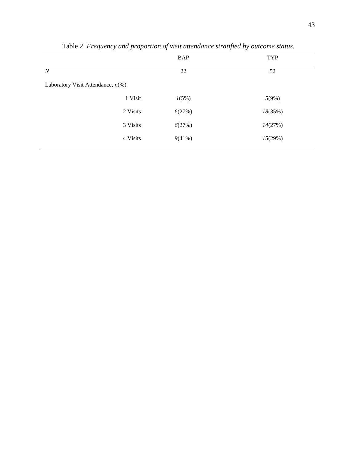|                                      |          | <b>BAP</b> | TYP     |
|--------------------------------------|----------|------------|---------|
| $\boldsymbol{N}$                     |          | 22         | 52      |
| Laboratory Visit Attendance, $n$ (%) |          |            |         |
|                                      | 1 Visit  | 1(5%)      | 5(9%)   |
|                                      | 2 Visits | 6(27%)     | 18(35%) |
|                                      | 3 Visits | 6(27%)     | 14(27%) |
|                                      | 4 Visits | 9(41%)     | 15(29%) |
|                                      |          |            |         |

Table 2. *Frequency and proportion of visit attendance stratified by outcome status.*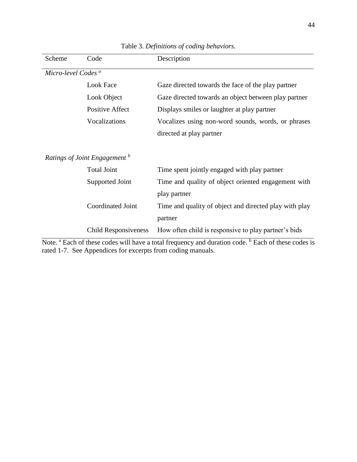| Scheme                         | Code                                     | Description                                            |  |  |  |  |
|--------------------------------|------------------------------------------|--------------------------------------------------------|--|--|--|--|
| Micro-level Codes <sup>a</sup> |                                          |                                                        |  |  |  |  |
|                                | <b>Look Face</b>                         | Gaze directed towards the face of the play partner     |  |  |  |  |
|                                | Look Object                              | Gaze directed towards an object between play partner   |  |  |  |  |
|                                | <b>Positive Affect</b>                   | Displays smiles or laughter at play partner            |  |  |  |  |
|                                | Vocalizations                            | Vocalizes using non-word sounds, words, or phrases     |  |  |  |  |
|                                |                                          | directed at play partner                               |  |  |  |  |
|                                |                                          |                                                        |  |  |  |  |
|                                | Ratings of Joint Engagement <sup>b</sup> |                                                        |  |  |  |  |
|                                | <b>Total Joint</b>                       | Time spent jointly engaged with play partner           |  |  |  |  |
|                                | Supported Joint                          | Time and quality of object oriented engagement with    |  |  |  |  |
|                                |                                          | play partner                                           |  |  |  |  |
|                                | <b>Coordinated Joint</b>                 | Time and quality of object and directed play with play |  |  |  |  |
|                                |                                          | partner                                                |  |  |  |  |
|                                | <b>Child Responsiveness</b>              | How often child is responsive to play partner's bids   |  |  |  |  |

Table 3. *Definitions of coding behaviors.*

Note. <sup>a</sup> Each of these codes will have a total frequency and duration code. <sup>b</sup> Each of these codes is rated 1-7. See Appendices for excerpts from coding manuals.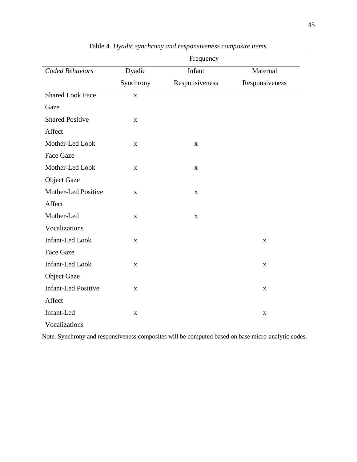|                            | Frequency   |                |                |  |  |  |
|----------------------------|-------------|----------------|----------------|--|--|--|
| <b>Coded Behaviors</b>     | Dyadic      | Infant         | Maternal       |  |  |  |
|                            | Synchrony   | Responsiveness | Responsiveness |  |  |  |
| <b>Shared Look Face</b>    | $\mathbf X$ |                |                |  |  |  |
| Gaze                       |             |                |                |  |  |  |
| <b>Shared Positive</b>     | $\mathbf X$ |                |                |  |  |  |
| Affect                     |             |                |                |  |  |  |
| Mother-Led Look            | $\mathbf X$ | $\mathbf X$    |                |  |  |  |
| Face Gaze                  |             |                |                |  |  |  |
| Mother-Led Look            | $\mathbf X$ | $\mathbf X$    |                |  |  |  |
| <b>Object Gaze</b>         |             |                |                |  |  |  |
| Mother-Led Positive        | $\mathbf X$ | $\mathbf X$    |                |  |  |  |
| Affect                     |             |                |                |  |  |  |
| Mother-Led                 | $\mathbf X$ | $\mathbf X$    |                |  |  |  |
| Vocalizations              |             |                |                |  |  |  |
| <b>Infant-Led Look</b>     | $\mathbf X$ |                | $\mathbf X$    |  |  |  |
| <b>Face Gaze</b>           |             |                |                |  |  |  |
| Infant-Led Look            | $\mathbf X$ |                | $\mathbf X$    |  |  |  |
| <b>Object Gaze</b>         |             |                |                |  |  |  |
| <b>Infant-Led Positive</b> | $\mathbf X$ |                | $\mathbf X$    |  |  |  |
| Affect                     |             |                |                |  |  |  |
| Infant-Led                 | $\mathbf X$ |                | $\mathbf X$    |  |  |  |
| Vocalizations              |             |                |                |  |  |  |

Table 4*. Dyadic synchrony and responsiveness composite items.*

Note. Synchrony and responsiveness composites will be computed based on base micro-analytic codes.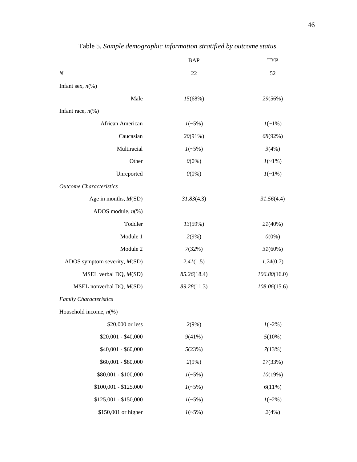|                                      | <b>BAP</b>  | TYP          |
|--------------------------------------|-------------|--------------|
| $\cal N$                             | 22          | 52           |
| Infant sex, $n\ll 0$                 |             |              |
| Male                                 | 15(68%)     | 29(56%)      |
| Infant race, $n$ <sup>(%)</sup>      |             |              |
| African American                     | $1(-5%)$    | $1(-1%)$     |
| Caucasian                            | 20(91%)     | 68(92%)      |
| Multiracial                          | $1(-5%)$    | 3(4%)        |
| Other                                | $0(0\%)$    | $1(-1%)$     |
| Unreported                           | $0(0\%)$    | $1(-1%)$     |
| <b>Outcome Characteristics</b>       |             |              |
| Age in months, $M(SD)$               | 31.83(4.3)  | 31.56(4.4)   |
| ADOS module, $n$ <sup>(%)</sup>      |             |              |
| Toddler                              | 13(59%)     | 21(40%)      |
| Module 1                             | 2(9%)       | $0(0\%)$     |
| Module 2                             | 7(32%)      | 31(60%)      |
| ADOS symptom severity, $M(SD)$       | 2.41(1.5)   | 1.24(0.7)    |
| MSEL verbal DQ, M(SD)                | 85.26(18.4) | 106.80(16.0) |
| MSEL nonverbal $DQ$ , $M(SD)$        | 89.28(11.3) | 108.06(15.6) |
| <b>Family Characteristics</b>        |             |              |
| Household income, $n$ <sup>(%)</sup> |             |              |
| \$20,000 or less                     | 2(9%)       | $1(-2\%)$    |
| $$20,001 - $40,000$                  | 9(41%)      | 5(10%)       |
| $$40,001 - $60,000$                  | 5(23%)      | 7(13%)       |
| $$60,001 - $80,000$                  | 2(9%)       | 17(33%)      |
| \$80,001 - \$100,000                 | $1(-5%)$    | 10(19%)      |
| $$100,001 - $125,000$                | $1(-5%)$    | 6(11%)       |
| $$125,001 - $150,000$                | $1(-5%)$    | $1(-2\%)$    |
| \$150,001 or higher                  | $1(-5%)$    | 2(4%)        |

Table 5*. Sample demographic information stratified by outcome status.*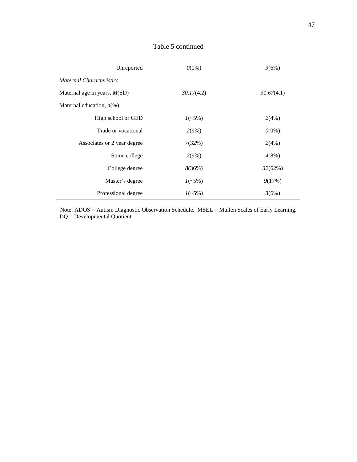# Table 5 continued

| Unreported                      | $0(0\%)$   | 3(6%)      |  |
|---------------------------------|------------|------------|--|
| <b>Maternal Characteristics</b> |            |            |  |
| Maternal age in years, $M(SD)$  | 30.17(4.2) | 31.67(4.1) |  |
| Maternal education, $n\ll 0$    |            |            |  |
| High school or GED              | $1(-5%)$   | 2(4%)      |  |
| Trade or vocational             | 2(9%)      | $0(0\%)$   |  |
| Associates or 2 year degree     | 7(32%)     | 2(4%)      |  |
| Some college                    | 2(9%)      | 4(8%)      |  |
| College degree                  | 8(36%)     | 32(62%)    |  |
| Master's degree                 | $1(-5%)$   | 9(17%)     |  |
| Professional degree             | $1(-5%)$   | 3(6%)      |  |

Note: ADOS = Autism Diagnostic Observation Schedule. MSEL = Mullen Scales of Early Learning. DQ = Developmental Quotient.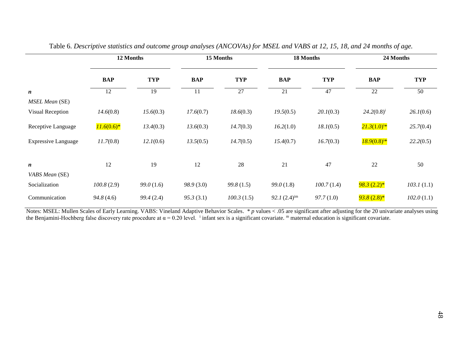|                            | 12 Months    |            |            | 15 Months  |                  | 18 Months  |                  | 24 Months  |  |
|----------------------------|--------------|------------|------------|------------|------------------|------------|------------------|------------|--|
|                            | <b>BAP</b>   | <b>TYP</b> | <b>BAP</b> | <b>TYP</b> | <b>BAP</b>       | <b>TYP</b> | <b>BAP</b>       | <b>TYP</b> |  |
| n                          | 12           | 19         | 11         | 27         | 21               | 47         | 22               | 50         |  |
| <b>MSEL Mean (SE)</b>      |              |            |            |            |                  |            |                  |            |  |
| Visual Reception           | 14.6(0.8)    | 15.6(0.3)  | 17.6(0.7)  | 18.6(0.3)  | 19.5(0.5)        | 20.1(0.3)  | $24.2(0.8)^{i}$  | 26.1(0.6)  |  |
| Receptive Language         | $11.6(0.6)*$ | 13.4(0.3)  | 13.6(0.3)  | 14.7(0.3)  | 16.2(1.0)        | 18.1(0.5)  | $21.3(1.0)^{i*}$ | 25.7(0.4)  |  |
| <b>Expressive Language</b> | 11.7(0.8)    | 12.1(0.6)  | 13.5(0.5)  | 14.7(0.5)  | 15.4(0.7)        | 16.7(0.3)  | $18.9(0.8)^{i*}$ | 22.2(0.5)  |  |
|                            |              |            |            |            |                  |            |                  |            |  |
| n                          | 12           | 19         | 12         | 28         | 21               | 47         | 22               | 50         |  |
| VABS Mean (SE)             |              |            |            |            |                  |            |                  |            |  |
| Socialization              | 100.8(2.9)   | 99.0(1.6)  | 98.9(3.0)  | 99.8(1.5)  | 99.0(1.8)        | 100.7(1.4) | $98.3(2.2)$ *    | 103.1(1.1) |  |
| Communication              | 94.8(4.6)    | 99.4(2.4)  | 95.3(3.1)  | 100.3(1.5) | $92.1(2.4)^{im}$ | 97.7(1.0)  | $93.8(2.8)$ *    | 102.0(1.1) |  |

|  | Table 6. Descriptive statistics and outcome group analyses (ANCOVAs) for MSEL and VABS at 12, 15, 18, and 24 months of age. |
|--|-----------------------------------------------------------------------------------------------------------------------------|
|  |                                                                                                                             |

Notes: MSEL: Mullen Scales of Early Learning. VABS: Vineland Adaptive Behavior Scales. \* p values < .05 are significant after adjusting for the 20 univariate analyses using the Benjamini-Hochberg false discovery rate procedure at  $\alpha = 0.20$  level. <sup>i</sup> infant sex is a significant covariate. <sup>m</sup> maternal education is significant covariate.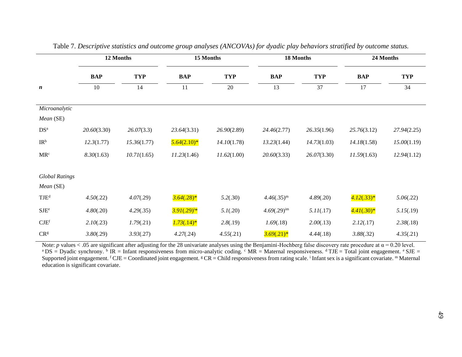|                       | 12 Months   |             | 15 Months        |             |                  | 18 Months   | 24 Months    |             |
|-----------------------|-------------|-------------|------------------|-------------|------------------|-------------|--------------|-------------|
|                       | <b>BAP</b>  | <b>TYP</b>  | <b>BAP</b>       | <b>TYP</b>  | <b>BAP</b>       | <b>TYP</b>  | <b>BAP</b>   | <b>TYP</b>  |
| $\boldsymbol{n}$      | 10          | 14          | 11               | 20          | 13               | 37          | 17           | 34          |
| Microanalytic         |             |             |                  |             |                  |             |              |             |
| Mean (SE)             |             |             |                  |             |                  |             |              |             |
| DS <sup>a</sup>       | 20.60(3.30) | 26.07(3.3)  | 23.64(3.31)      | 26.90(2.89) | 24.46(2.77)      | 26.35(1.96) | 25.76(3.12)  | 27.94(2.25) |
| IR <sup>b</sup>       | 12.3(1.77)  | 15.36(1.77) | $5.64(2.10)*$    | 14.10(1.78) | 13.23(1.44)      | 14.73(1.03) | 14.18(1.58)  | 15.00(1.19) |
| MR <sup>c</sup>       | 8.30(1.63)  | 10.71(1.65) | 11.23(1.46)      | 11.62(1.00) | 20.60(3.33)      | 26.07(3.30) | 11.59(1.63)  | 12.94(1.12) |
| <b>Global Ratings</b> |             |             |                  |             |                  |             |              |             |
| Mean (SE)             |             |             |                  |             |                  |             |              |             |
| TJE <sup>d</sup>      | 4.50(.22)   | 4.07(.29)   | $3.64(.28)*$     | 5.2(.30)    | $4.46(.35)^m$    | 4.89(.20)   | $4.12(.33)*$ | 5.06(.22)   |
| $\rm SJE^e$           | 4.80(.20)   | 4.29(.35)   | $3.91(.29)^{i*}$ | 5.1(.20)    | $4.69(.29)^{im}$ | 5.11(.17)   | $4.41(.30)*$ | 5.15(.19)   |
| CJE <sup>f</sup>      | 2.10(.23)   | 1.79(.21)   | $1.73(.14)*$     | 2.8(.19)    | 1.69(.18)        | 2.00(.13)   | 2.12(.17)    | 2.38(.18)   |
| CR <sup>g</sup>       | 3.80(.29)   | 3.93(.27)   | 4.27(.24)        | 4.55(.21)   | $3.69(.21)*$     | 4.44(.18)   | 3.88(.32)    | 4.35(.21)   |

Table 7. *Descriptive statistics and outcome group analyses (ANCOVAs) for dyadic play behaviors stratified by outcome status.*

Note: *p* values < .05 are significant after adjusting for the 28 univariate analyses using the Benjamini-Hochberg false discovery rate procedure at  $\alpha$  = 0.20 level. <sup>a</sup>DS = Dyadic synchrony. <sup>b</sup> IR = Infant responsiveness from micro-analytic coding. <sup>c</sup> MR = Maternal responsiveness. <sup>d</sup> TJE = Total joint engagement. <sup>e</sup> SJE = Supported joint engagement.  ${}^f$ CJE = Coordinated joint engagement.  ${}^g$ CR = Child responsiveness from rating scale. <sup>i</sup> Infant sex is a significant covariate. <sup>m</sup> Maternal education is significant covariate.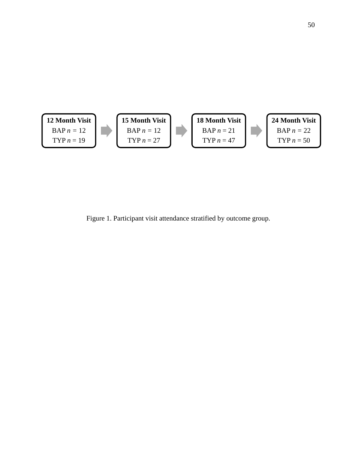

Figure 1. Participant visit attendance stratified by outcome group.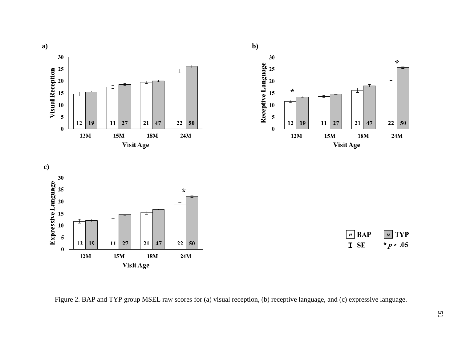

Figure 2. BAP and TYP group MSEL raw scores for (a) visual reception, (b) receptive language, and (c) expressive language.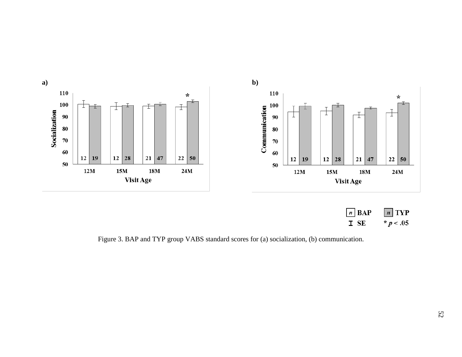

Figure 3. BAP and TYP group VABS standard scores for (a) socialization, (b) communication.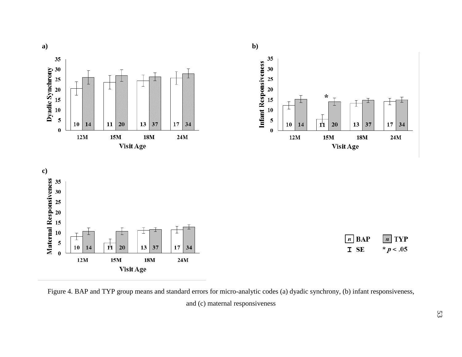

Figure 4. BAP and TYP group means and standard errors for micro-analytic codes (a) dyadic synchrony, (b) infant responsiveness, and (c) maternal responsiveness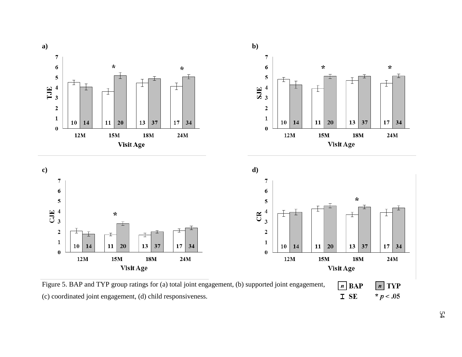

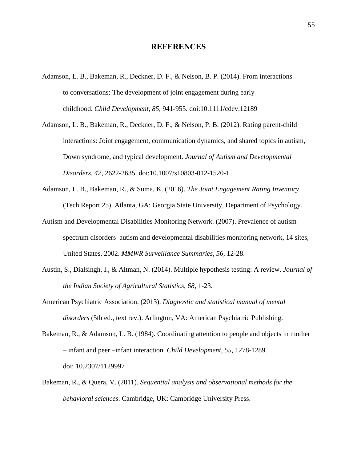## **REFERENCES**

- Adamson, L. B., Bakeman, R., Deckner, D. F., & Nelson, B. P. (2014). From interactions to conversations: The development of joint engagement during early childhood. *Child Development*, *85*, 941-955. doi:10.1111/cdev.12189
- Adamson, L. B., Bakeman, R., Deckner, D. F., & Nelson, P. B. (2012). Rating parent-child interactions: Joint engagement, communication dynamics, and shared topics in autism, Down syndrome, and typical development. *Journal of Autism and Developmental Disorders*, *42*, 2622-2635. doi:10.1007/s10803-012-1520-1
- Adamson, L. B., Bakeman, R., & Suma, K. (2016). *The Joint Engagement Rating Inventory*  (Tech Report 25). Atlanta, GA: Georgia State University, Department of Psychology.
- Autism and Developmental Disabilities Monitoring Network. (2007). Prevalence of autism spectrum disorders–autism and developmental disabilities monitoring network, 14 sites, United States, 2002. *MMWR Surveillance Summaries, 56*, 12-28.
- Austin, S., Dialsingh, I., & Altman, N. (2014). Multiple hypothesis testing: A review. *Journal of the Indian Society of Agricultural Statistics, 68*, 1-23.
- American Psychiatric Association. (2013). *Diagnostic and statistical manual of mental disorders* (5th ed., text rev.). Arlington, VA: American Psychiatric Publishing.
- Bakeman, R., & Adamson, L. B. (1984). Coordinating attention to people and objects in mother – infant and peer –infant interaction. *Child Development*, *55*, 1278-1289. doi: 10.2307/1129997
- Bakeman, R., & Quera, V. (2011). *Sequential analysis and observational methods for the behavioral sciences*. Cambridge, UK: Cambridge University Press.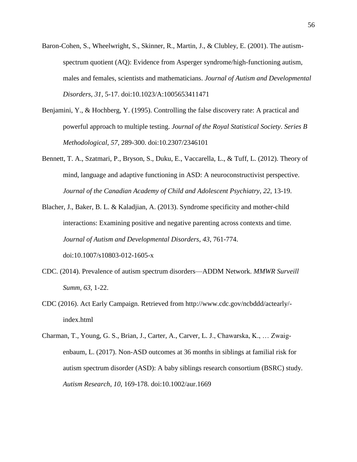- Baron-Cohen, S., Wheelwright, S., Skinner, R., Martin, J., & Clubley, E. (2001). The autismspectrum quotient (AQ): Evidence from Asperger syndrome/high-functioning autism, males and females, scientists and mathematicians. *Journal of Autism and Developmental Disorders*, *31*, 5-17. doi:10.1023/A:1005653411471
- Benjamini, Y., & Hochberg, Y. (1995). Controlling the false discovery rate: A practical and powerful approach to multiple testing. *Journal of the Royal Statistical Society*. *Series B Methodological*, *57*, 289-300. doi:10.2307/2346101
- Bennett, T. A., Szatmari, P., Bryson, S., Duku, E., Vaccarella, L., & Tuff, L. (2012). Theory of mind, language and adaptive functioning in ASD: A neuroconstructivist perspective. *Journal of the Canadian Academy of Child and Adolescent Psychiatry*, *22*, 13-19.
- Blacher, J., Baker, B. L. & Kaladjian, A. (2013). Syndrome specificity and mother-child interactions: Examining positive and negative parenting across contexts and time. *Journal of Autism and Developmental Disorders*, *43*, 761-774. doi:10.1007/s10803-012-1605-x
- CDC. (2014). Prevalence of autism spectrum disorders—ADDM Network. *MMWR Surveill Summ*, *63*, 1-22.
- CDC (2016). Act Early Campaign. Retrieved from http://www.cdc.gov/ncbddd/actearly/ index.html
- Charman, T., Young, G. S., Brian, J., Carter, A., Carver, L. J., Chawarska, K., … Zwaigenbaum, L. (2017). Non-ASD outcomes at 36 months in siblings at familial risk for autism spectrum disorder (ASD): A baby siblings research consortium (BSRC) study. *Autism Research*, *10*, 169-178. doi:10.1002/aur.1669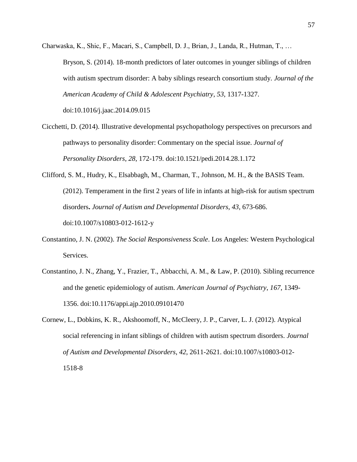Charwaska, K., Shic, F., Macari, S., Campbell, D. J., Brian, J., Landa, R., Hutman, T., … Bryson, S. (2014). 18-month predictors of later outcomes in younger siblings of children with autism spectrum disorder: A baby siblings research consortium study. *Journal of the American Academy of Child & Adolescent Psychiatry*, *53*, 1317-1327. doi:10.1016/j.jaac.2014.09.015

- Cicchetti, D. (2014). Illustrative developmental psychopathology perspectives on precursors and pathways to personality disorder: Commentary on the special issue. *Journal of Personality Disorders*, *28*, 172-179. doi:10.1521/pedi.2014.28.1.172
- Clifford, S. M., Hudry, K., Elsabbagh, M., Charman, T., Johnson, M. H., & the BASIS Team. (2012). Temperament in the first 2 years of life in infants at high-risk for autism spectrum disorders**.** *Journal of Autism and Developmental Disorders, 43*, 673-686. doi:10.1007/s10803-012-1612-y
- Constantino, J. N. (2002). *The Social Responsiveness Scale*. Los Angeles: Western Psychological Services.
- Constantino, J. N., Zhang, Y., Frazier, T., Abbacchi, A. M., & Law, P. (2010). Sibling recurrence and the genetic epidemiology of autism. *American Journal of Psychiatry*, *167*, 1349- 1356. doi:10.1176/appi.ajp.2010.09101470
- Cornew, L., Dobkins, K. R., Akshoomoff, N., McCleery, J. P., Carver, L. J. (2012). Atypical social referencing in infant siblings of children with autism spectrum disorders. *Journal of Autism and Developmental Disorders*, *42*, 2611-2621. doi:10.1007/s10803-012- 1518-8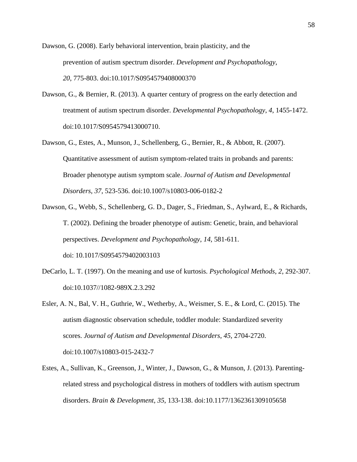Dawson, G. (2008). Early behavioral intervention, brain plasticity, and the prevention of autism spectrum disorder. *Development and Psychopathology*, *20*, 775-803. doi:10.1017/S0954579408000370

- Dawson, G., & Bernier, R. (2013). A quarter century of progress on the early detection and treatment of autism spectrum disorder. *Developmental Psychopathology*, *4*, 1455-1472. doi:10.1017/S0954579413000710.
- Dawson, G., Estes, A., Munson, J., Schellenberg, G., Bernier, R., & Abbott, R. (2007). Quantitative assessment of autism symptom-related traits in probands and parents: Broader phenotype autism symptom scale. *Journal of Autism and Developmental Disorders*, *37*, 523-536. doi:10.1007/s10803-006-0182-2
- Dawson, G., Webb, S., Schellenberg, G. D., Dager, S., Friedman, S., Aylward, E., & Richards, T. (2002). Defining the broader phenotype of autism: Genetic, brain, and behavioral perspectives. *Development and Psychopathology*, *14*, 581-611. doi: 10.1017/S0954579402003103
- DeCarlo, L. T. (1997). On the meaning and use of kurtosis. *Psychological Methods*, *2*, 292-307. doi:10.1037//1082-989X.2.3.292
- Esler, A. N., Bal, V. H., Guthrie, W., Wetherby, A., Weismer, S. E., & Lord, C. (2015). The autism diagnostic observation schedule, toddler module: Standardized severity scores. *Journal of Autism and Developmental Disorders*, *45*, 2704-2720. doi:10.1007/s10803-015-2432-7
- Estes, A., Sullivan, K., Greenson, J., Winter, J., Dawson, G., & Munson, J. (2013). Parentingrelated stress and psychological distress in mothers of toddlers with autism spectrum disorders. *Brain & Development*, *35*, 133-138. doi:10.1177/1362361309105658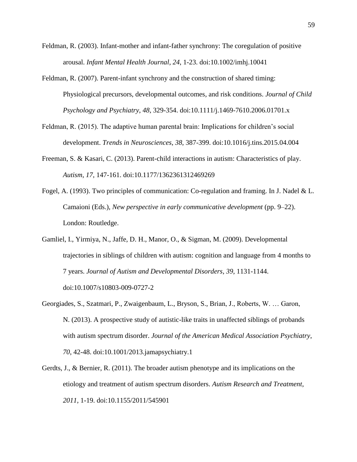- Feldman, R. (2003). Infant-mother and infant-father synchrony: The coregulation of positive arousal. *Infant Mental Health Journal*, *24*, 1-23. doi:10.1002/imhj.10041
- Feldman, R. (2007). Parent-infant synchrony and the construction of shared timing: Physiological precursors, developmental outcomes, and risk conditions. *Journal of Child Psychology and Psychiatry*, *48*, 329-354. doi:10.1111/j.1469-7610.2006.01701.x
- Feldman, R. (2015). The adaptive human parental brain: Implications for children's social development. *Trends in Neurosciences*, *38*, 387-399. doi:10.1016/j.tins.2015.04.004
- Freeman, S. & Kasari, C. (2013). Parent-child interactions in autism: Characteristics of play. *Autism*, *17*, 147-161. doi:10.1177/1362361312469269
- Fogel, A. (1993). Two principles of communication: Co-regulation and framing. In J. Nadel & L. Camaioni (Eds.), *New perspective in early communicative development* (pp. 9–22). London: Routledge.
- Gamliel, I., Yirmiya, N., Jaffe, D. H., Manor, O., & Sigman, M. (2009). Developmental trajectories in siblings of children with autism: cognition and language from 4 months to 7 years. *Journal of Autism and Developmental Disorders*, *39*, 1131-1144. doi:10.1007/s10803-009-0727-2
- Georgiades, S., Szatmari, P., Zwaigenbaum, L., Bryson, S., Brian, J., Roberts, W. … Garon, N. (2013). A prospective study of autistic-like traits in unaffected siblings of probands with autism spectrum disorder. *Journal of the American Medical Association Psychiatry*, *70*, 42-48. doi:10.1001/2013.jamapsychiatry.1
- Gerdts, J., & Bernier, R. (2011). The broader autism phenotype and its implications on the etiology and treatment of autism spectrum disorders. *Autism Research and Treatment*, *2011,* 1-19. doi:10.1155/2011/545901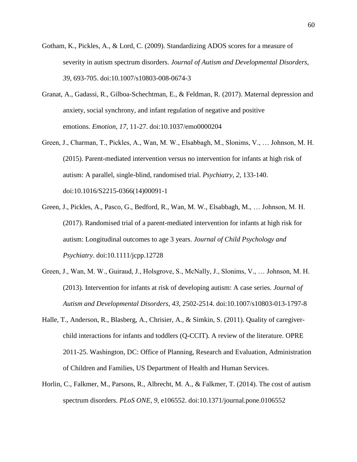- Gotham, K., Pickles, A., & Lord, C. (2009). Standardizing ADOS scores for a measure of severity in autism spectrum disorders. *Journal of Autism and Developmental Disorders*, *39*, 693-705. doi:10.1007/s10803-008-0674-3
- Granat, A., Gadassi, R., Gilboa-Schechtman, E., & Feldman, R. (2017). Maternal depression and anxiety, social synchrony, and infant regulation of negative and positive emotions. *Emotion, 17*, 11-27. doi:10.1037/emo0000204
- Green, J., Charman, T., Pickles, A., Wan, M. W., Elsabbagh, M., Slonims, V., … Johnson, M. H. (2015). Parent-mediated intervention versus no intervention for infants at high risk of autism: A parallel, single-blind, randomised trial. *Psychiatry*, *2*, 133-140. doi:10.1016/S2215-0366(14)00091-1
- Green, J., Pickles, A., Pasco, G., Bedford, R., Wan, M. W., Elsabbagh, M., … Johnson, M. H. (2017). Randomised trial of a parent-mediated intervention for infants at high risk for autism: Longitudinal outcomes to age 3 years. *Journal of Child Psychology and Psychiatry*. doi:10.1111/jcpp.12728
- Green, J., Wan, M. W., Guiraud, J., Holsgrove, S., McNally, J., Slonims, V., … Johnson, M. H. (2013). Intervention for infants at risk of developing autism: A case series. *Journal of Autism and Developmental Disorders*, *43*, 2502-2514. doi:10.1007/s10803-013-1797-8
- Halle, T., Anderson, R., Blasberg, A., Chrisier, A., & Simkin, S. (2011). Quality of caregiverchild interactions for infants and toddlers (Q-CCIT). A review of the literature. OPRE 2011-25. Washington, DC: Office of Planning, Research and Evaluation, Administration of Children and Families, US Department of Health and Human Services.
- Horlin, C., Falkmer, M., Parsons, R., Albrecht, M. A., & Falkmer, T. (2014). The cost of autism spectrum disorders. *PLoS ONE*, *9*, e106552. doi:10.1371/journal.pone.0106552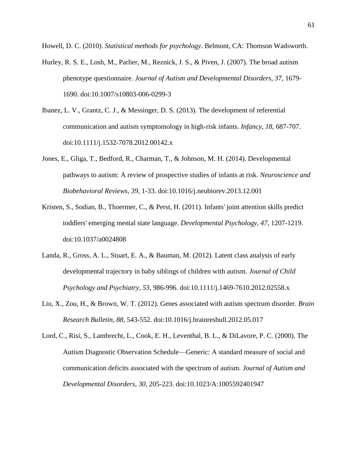Howell, D. C. (2010). *Statistical methods for psychology*. Belmont, CA: Thomson Wadsworth.

- Hurley, R. S. E., Losh, M., Parlier, M., Reznick, J. S., & Piven, J. (2007). The broad autism phenotype questionnaire. *Journal of Autism and Developmental Disorders*, *37,* 1679- 1690. doi:10.1007/s10803-006-0299-3
- Ibanez, L. V., Grantz, C. J., & Messinger, D. S. (2013). The development of referential communication and autism symptomology in high-risk infants. *Infancy*, *18*, 687-707. doi:10.1111/j.1532-7078.2012.00142.x
- Jones, E., Gliga, T., Bedford, R., Charman, T., & Johnson, M. H. (2014). Developmental pathways to autism: A review of prospective studies of infants at risk. *Neuroscience and Biobehavioral Reviews*, *39*, 1-33. doi:10.1016/j.neubiorev.2013.12.001
- Kristen, S., Sodian, B., Thoermer, C., & Perst, H. (2011). Infants' joint attention skills predict toddlers' emerging mental state language. *Developmental Psychology, 47*, 1207-1219. [doi:10.1037/a0024808](http://psycnet.apa.org/doi/10.1037/a0024808)
- Landa, R., Gross, A. L., Stuart, E. A., & Bauman, M. (2012). Latent class analysis of early developmental trajectory in baby siblings of children with autism. *Journal of Child Psychology and Psychiatry*, *53*, 986-996. doi:10.1111/j.1469-7610.2012.02558.x
- Liu, X., Zou, H., & Brown, W. T. (2012). Genes associated with autism spectrum disorder. *Brain Research Bulletin*, *88*, 543-552. doi:10.1016/j.brainresbull.2012.05.017
- Lord, C., Risi, S., Lambrecht, L., Cook, E. H., Leventhal, B. L., & DiLavore, P. C. (2000). The Autism Diagnostic Observation Schedule—Generic: A standard measure of social and communication deficits associated with the spectrum of autism. *Journal of Autism and Developmental Disorders*, *30*, 205-223. doi:10.1023/A:1005592401947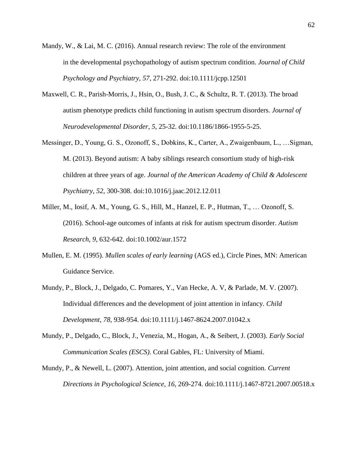- Mandy, W., & Lai, M. C. (2016). Annual research review: The role of the environment in the developmental psychopathology of autism spectrum condition. *Journal of Child Psychology and Psychiatry*, *57*, 271-292. doi:10.1111/jcpp.12501
- Maxwell, C. R., Parish-Morris, J., Hsin, O., Bush, J. C., & Schultz, R. T. (2013). The broad autism phenotype predicts child functioning in autism spectrum disorders. *Journal of Neurodevelopmental Disorder*, *5*, 25-32. doi:10.1186/1866-1955-5-25.
- Messinger, D., Young, G. S., Ozonoff, S., Dobkins, K., Carter, A., Zwaigenbaum, L., …Sigman, M. (2013). Beyond autism: A baby siblings research consortium study of high-risk children at three years of age. *Journal of the American Academy of Child & Adolescent Psychiatry*, *52*, 300-308. doi:10.1016/j.jaac.2012.12.011
- Miller, M., Iosif, A. M., Young, G. S., Hill, M., Hanzel, E. P., Hutman, T., … Ozonoff, S. (2016). School-age outcomes of infants at risk for autism spectrum disorder. *Autism Research*, *9*, 632-642. doi:10.1002/aur.1572
- Mullen, E. M. (1995). *Mullen scales of early learning* (AGS ed.), Circle Pines, MN: American Guidance Service.
- Mundy, P., Block, J., Delgado, C. Pomares, Y., Van Hecke, A. V, & Parlade, M. V. (2007). Individual differences and the development of joint attention in infancy. *Child Development*, *78*, 938-954. doi:10.1111/j.1467-8624.2007.01042.x
- Mundy, P., Delgado, C., Block, J., Venezia, M., Hogan, A., & Seibert, J. (2003). *Early Social Communication Scales (ESCS)*. Coral Gables, FL: University of Miami.
- Mundy, P., & Newell, L. (2007). Attention, joint attention, and social cognition. *Current Directions in Psychological Science*, *16*, 269-274. doi:10.1111/j.1467-8721.2007.00518.x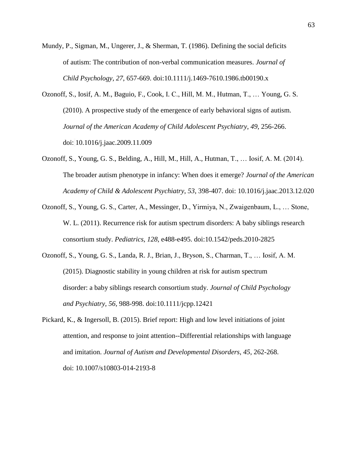Mundy, P., Sigman, M., Ungerer, J., & Sherman, T. (1986). Defining the social deficits of autism: The contribution of non-verbal communication measures. *Journal of Child Psychology*, *27*, 657-669. doi:10.1111/j.1469-7610.1986.tb00190.x

- Ozonoff, S., Iosif, A. M., Baguio, F., Cook, I. C., Hill, M. M., Hutman, T., … Young, G. S. (2010). A prospective study of the emergence of early behavioral signs of autism. *Journal of the American Academy of Child Adolescent Psychiatry*, *49*, 256-266. doi: 10.1016/j.jaac.2009.11.009
- Ozonoff, S., Young, G. S., Belding, A., Hill, M., Hill, A., Hutman, T., … Iosif, A. M. (2014). The broader autism phenotype in infancy: When does it emerge? *Journal of the American Academy of Child & Adolescent Psychiatry*, *53*, 398-407. doi: 10.1016/j.jaac.2013.12.020
- Ozonoff, S., Young, G. S., Carter, A., Messinger, D., Yirmiya, N., Zwaigenbaum, L., … Stone, W. L. (2011). Recurrence risk for autism spectrum disorders: A baby siblings research consortium study. *Pediatrics*, *128*, e488-e495. doi:10.1542/peds.2010-2825
- Ozonoff, S., Young, G. S., Landa, R. J., Brian, J., Bryson, S., Charman, T., … Iosif, A. M. (2015). Diagnostic stability in young children at risk for autism spectrum disorder: a baby siblings research consortium study. *Journal of Child Psychology and Psychiatry*, *56*, 988-998. doi:10.1111/jcpp.12421
- Pickard, K., & Ingersoll, B. (2015). Brief report: High and low level initiations of joint attention, and response to joint attention--Differential relationships with language and imitation. *Journal of Autism and Developmental Disorders*, *45*, 262-268. doi: 10.1007/s10803-014-2193-8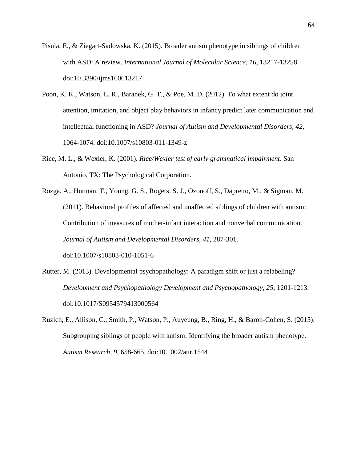- Pisula, E., & Ziegart-Sadowska, K. (2015). Broader autism phenotype in siblings of children with ASD: A review. *International Journal of Molecular Science*, *16*, 13217-13258. doi:10.3390/ijms160613217
- Poon, K. K., Watson, L. R., Baranek, G. T., & Poe, M. D. (2012). To what extent do joint attention, imitation, and object play behaviors in infancy predict later communication and intellectual functioning in ASD? *Journal of Autism and Developmental Disorders*, *42*, 1064-1074. doi:10.1007/s10803-011-1349-z
- Rice, M. L., & Wexler, K. (2001). *Rice/Wexler test of early grammatical impairment*. San Antonio, TX: The Psychological Corporation.
- Rozga, A., Hutman, T., Young, G. S., Rogers, S. J., Ozonoff, S., Dapretto, M., & Sigman, M. (2011). Behavioral profiles of affected and unaffected siblings of children with autism: Contribution of measures of mother-infant interaction and nonverbal communication. *Journal of Autism and Developmental Disorders*, *41*, 287-301. doi:10.1007/s10803-010-1051-6
- Rutter, M. (2013). Developmental psychopathology: A paradigm shift or just a relabeling? *Development and Psychopathology Development and Psychopathology*, *25*, 1201-1213. doi:10.1017/S0954579413000564
- Ruzich, E., Allison, C., Smith, P., Watson, P., Auyeung, B., Ring, H., & Baron-Cohen, S. (2015). Subgrouping siblings of people with autism: Identifying the broader autism phenotype. *Autism Research*, *9*, 658-665. doi:10.1002/aur.1544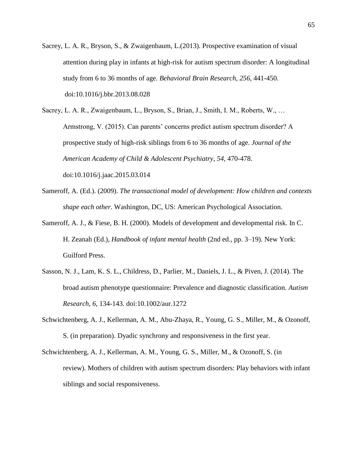- Sacrey, L. A. R., Bryson, S., & Zwaigenbaum, L.(2013). Prospective examination of visual attention during play in infants at high-risk for autism spectrum disorder: A longitudinal study from 6 to 36 months of age. *Behavioral Brain Research*, *256*, 441-450. doi:10.1016/j.bbr.2013.08.028
- Sacrey, L. A. R., Zwaigenbaum, L., Bryson, S., Brian, J., Smith, I. M., Roberts, W., … Armstrong, V. (2015). Can parents' concerns predict autism spectrum disorder? A prospective study of high-risk siblings from 6 to 36 months of age. *Journal of the American Academy of Child & Adolescent Psychiatry*, *54*, 470-478. doi:10.1016/j.jaac.2015.03.014
- Sameroff, A. (Ed.). (2009). *The transactional model of development: How children and contexts shape each other*. Washington, DC, US: American Psychological Association.
- Sameroff, A. J., & Fiese, B. H. (2000). Models of development and developmental risk. In C. H. Zeanah (Ed.), *Handbook of infant mental health* (2nd ed., pp. 3–19). New York: Guilford Press.
- Sasson, N. J., Lam, K. S. L., Childress, D., Parlier, M., Daniels, J. L., & Piven, J. (2014). The broad autism phenotype questionnaire: Prevalence and diagnostic classification. *Autism Research*, *6*, 134-143. doi:10.1002/aur.1272
- Schwichtenberg, A. J., Kellerman, A. M., Abu-Zhaya, R., Young, G. S., Miller, M., & Ozonoff, S. (in preparation). Dyadic synchrony and responsiveness in the first year.
- Schwichtenberg, A. J., Kellerman, A. M., Young, G. S., Miller, M., & Ozonoff, S. (in review). Mothers of children with autism spectrum disorders: Play behaviors with infant siblings and social responsiveness.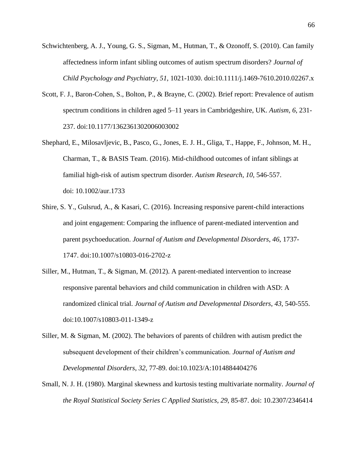- Schwichtenberg, A. J., Young, G. S., Sigman, M., Hutman, T., & Ozonoff, S. (2010). Can family affectedness inform infant sibling outcomes of autism spectrum disorders? *Journal of Child Psychology and Psychiatry*, *51*, 1021-1030. doi:10.1111/j.1469-7610.2010.02267.x
- Scott, F. J., Baron-Cohen, S., Bolton, P., & Brayne, C. (2002). Brief report: Prevalence of autism spectrum conditions in children aged 5–11 years in Cambridgeshire, UK. *Autism, 6*, 231- 237. doi:10.1177/1362361302006003002
- Shephard, E., Milosavljevic, B., Pasco, G., Jones, E. J. H., Gliga, T., Happe, F., Johnson, M. H., Charman, T., & BASIS Team. (2016). Mid-childhood outcomes of infant siblings at familial high-risk of autism spectrum disorder. *Autism Research*, *10*, 546-557. doi: 10.1002/aur.1733
- Shire, S. Y., Gulsrud, A., & Kasari, C. (2016). Increasing responsive parent-child interactions and joint engagement: Comparing the influence of parent-mediated intervention and parent psychoeducation. *Journal of Autism and Developmental Disorders*, *46*, 1737- 1747. doi:10.1007/s10803-016-2702-z
- Siller, M., Hutman, T., & Sigman, M. (2012). A parent-mediated intervention to increase responsive parental behaviors and child communication in children with ASD: A randomized clinical trial. *Journal of Autism and Developmental Disorders*, *43*, 540-555. doi:10.1007/s10803-011-1349-z
- Siller, M. & Sigman, M. (2002). The behaviors of parents of children with autism predict the subsequent development of their children's communication. *Journal of Autism and Developmental Disorders*, *32*, 77-89. doi:10.1023/A:1014884404276
- Small, N. J. H. (1980). Marginal skewness and kurtosis testing multivariate normality. *Journal of the Royal Statistical Society Series C Applied Statistics*, *29*, 85-87. doi: 10.2307/2346414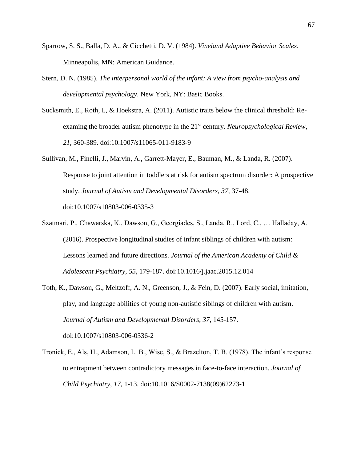- Sparrow, S. S., Balla, D. A., & Cicchetti, D. V. (1984). *Vineland Adaptive Behavior Scales*. Minneapolis, MN: American Guidance.
- Stern, D. N. (1985). *The interpersonal world of the infant: A view from psycho-analysis and developmental psychology*. New York, NY: Basic Books.
- Sucksmith, E., Roth, I., & Hoekstra, A. (2011). Autistic traits below the clinical threshold: Reexaming the broader autism phenotype in the 21<sup>st</sup> century. *Neuropsychological Review*, *21*, 360-389. doi:10.1007/s11065-011-9183-9
- Sullivan, M., Finelli, J., Marvin, A., Garrett-Mayer, E., Bauman, M., & Landa, R. (2007). Response to joint attention in toddlers at risk for autism spectrum disorder: A prospective study. *Journal of Autism and Developmental Disorders*, *37*, 37-48. doi:10.1007/s10803-006-0335-3
- Szatmari, P., Chawarska, K., Dawson, G., Georgiades, S., Landa, R., Lord, C., … Halladay, A. (2016). Prospective longitudinal studies of infant siblings of children with autism: Lessons learned and future directions. *Journal of the American Academy of Child & Adolescent Psychiatry*, *55*, 179-187. doi:10.1016/j.jaac.2015.12.014
- Toth, K., Dawson, G., Meltzoff, A. N., Greenson, J., & Fein, D. (2007). Early social, imitation, play, and language abilities of young non-autistic siblings of children with autism. *Journal of Autism and Developmental Disorders*, *37*, 145-157. doi:10.1007/s10803-006-0336-2
- Tronick, E., Als, H., Adamson, L. B., Wise, S., & Brazelton, T. B. (1978). The infant's response to entrapment between contradictory messages in face-to-face interaction. *Journal of Child Psychiatry*, *17*, 1-13. doi:10.1016/S0002-7138(09)62273-1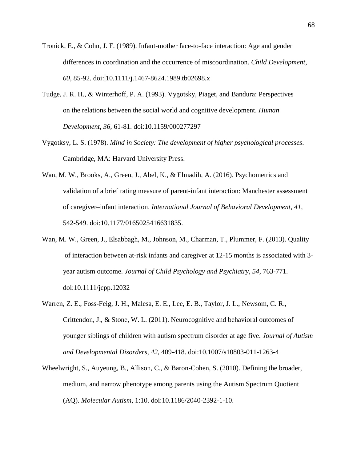- Tronick, E., & Cohn, J. F. (1989). Infant-mother face-to-face interaction: Age and gender differences in coordination and the occurrence of miscoordination. *Child Development*, *60*, 85-92. doi: 10.1111/j.1467-8624.1989.tb02698.x
- Tudge, J. R. H., & Winterhoff, P. A. (1993). Vygotsky, Piaget, and Bandura: Perspectives on the relations between the social world and cognitive development. *Human Development*, *36*, 61-81. doi:10.1159/000277297
- Vygotksy, L. S. (1978). *Mind in Society: The development of higher psychological processes*. Cambridge, MA: Harvard University Press.
- Wan, M. W., Brooks, A., Green, J., Abel, K., & Elmadih, A. (2016). Psychometrics and validation of a brief rating measure of parent-infant interaction: Manchester assessment of caregiver–infant interaction. *International Journal of Behavioral Development*, *41*, 542-549. doi:10.1177/0165025416631835.
- Wan, M. W., Green, J., Elsabbagh, M., Johnson, M., Charman, T., Plummer, F. (2013). Quality of interaction between at-risk infants and caregiver at 12-15 months is associated with 3 year autism outcome. *Journal of Child Psychology and Psychiatry, 54*, 763-771. doi:10.1111/jcpp.12032
- Warren, Z. E., Foss-Feig, J. H., Malesa, E. E., Lee, E. B., Taylor, J. L., Newsom, C. R., Crittendon, J., & Stone, W. L. (2011). Neurocognitive and behavioral outcomes of younger siblings of children with autism spectrum disorder at age five. *Journal of Autism and Developmental Disorders*, *42*, 409-418. doi:10.1007/s10803-011-1263-4
- Wheelwright, S., Auyeung, B., Allison, C., & Baron-Cohen, S. (2010). Defining the broader, medium, and narrow phenotype among parents using the Autism Spectrum Quotient (AQ). *Molecular Autism*, 1:10. doi:10.1186/2040-2392-1-10.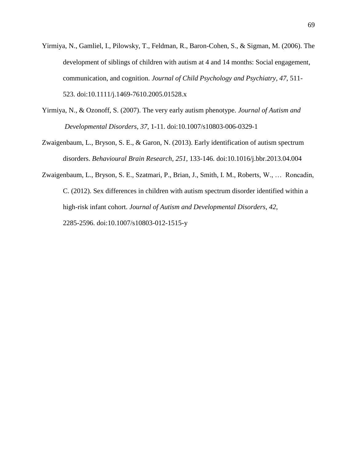- Yirmiya, N., Gamliel, I., Pilowsky, T., Feldman, R., Baron-Cohen, S., & Sigman, M. (2006). The development of siblings of children with autism at 4 and 14 months: Social engagement, communication, and cognition. *Journal of Child Psychology and Psychiatry*, *47*, 511- 523. doi:10.1111/j.1469-7610.2005.01528.x
- Yirmiya, N., & Ozonoff, S. (2007). The very early autism phenotype. *Journal of Autism and Developmental Disorders*, *37*, 1-11. doi:10.1007/s10803-006-0329-1
- Zwaigenbaum, L., Bryson, S. E., & Garon, N. (2013). Early identification of autism spectrum disorders. *Behavioural Brain Research*, *251*, 133-146. doi:10.1016/j.bbr.2013.04.004
- Zwaigenbaum, L., Bryson, S. E., Szatmari, P., Brian, J., Smith, I. M., Roberts, W., … Roncadin, C. (2012). Sex differences in children with autism spectrum disorder identified within a high-risk infant cohort. *Journal of Autism and Developmental Disorders*, *42*, 2285-2596. doi:10.1007/s10803-012-1515-y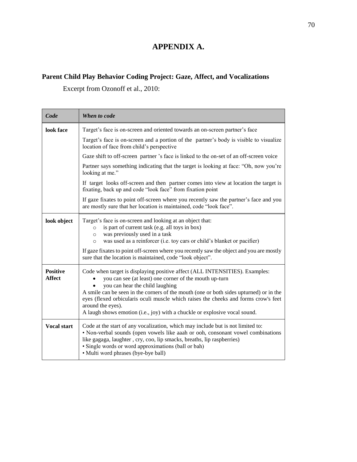## **APPENDIX A.**

## **Parent Child Play Behavior Coding Project: Gaze, Affect, and Vocalizations**

Excerpt from Ozonoff et al., 2010:

| Code                             | When to code                                                                                                                                                                                                                                                                                                                                                                                                                                                 |  |  |
|----------------------------------|--------------------------------------------------------------------------------------------------------------------------------------------------------------------------------------------------------------------------------------------------------------------------------------------------------------------------------------------------------------------------------------------------------------------------------------------------------------|--|--|
| look face                        | Target's face is on-screen and oriented towards an on-screen partner's face                                                                                                                                                                                                                                                                                                                                                                                  |  |  |
|                                  | Target's face is on-screen and a portion of the partner's body is visible to visualize<br>location of face from child's perspective                                                                                                                                                                                                                                                                                                                          |  |  |
|                                  | Gaze shift to off-screen partner's face is linked to the on-set of an off-screen voice                                                                                                                                                                                                                                                                                                                                                                       |  |  |
|                                  | Partner says something indicating that the target is looking at face: "Oh, now you're<br>looking at me."                                                                                                                                                                                                                                                                                                                                                     |  |  |
|                                  | If target looks off-screen and then partner comes into view at location the target is<br>fixating, back up and code "look face" from fixation point                                                                                                                                                                                                                                                                                                          |  |  |
|                                  | If gaze fixates to point off-screen where you recently saw the partner's face and you<br>are mostly sure that her location is maintained, code "look face".                                                                                                                                                                                                                                                                                                  |  |  |
| look object                      | Target's face is on-screen and looking at an object that:<br>is part of current task (e.g. all toys in box)<br>$\circ$<br>was previously used in a task<br>$\Omega$<br>was used as a reinforcer (i.e. toy cars or child's blanket or pacifier)<br>$\circ$<br>If gaze fixates to point off-screen where you recently saw the object and you are mostly<br>sure that the location is maintained, code "look object".                                           |  |  |
| <b>Positive</b><br><b>Affect</b> | Code when target is displaying positive affect (ALL INTENSITIES). Examples:<br>you can see (at least) one corner of the mouth up-turn<br>you can hear the child laughing<br>A smile can be seen in the corners of the mouth (one or both sides upturned) or in the<br>eyes (flexed orbicularis oculi muscle which raises the cheeks and forms crow's feet<br>around the eyes).<br>A laugh shows emotion (i.e., joy) with a chuckle or explosive vocal sound. |  |  |
| <b>Vocal start</b>               | Code at the start of any vocalization, which may include but is not limited to:<br>• Non-verbal sounds (open vowels like aaah or ooh, consonant vowel combinations<br>like gagaga, laughter, cry, coo, lip smacks, breaths, lip raspberries)<br>• Single words or word approximations (ball or bah)<br>• Multi word phrases (bye-bye ball)                                                                                                                   |  |  |